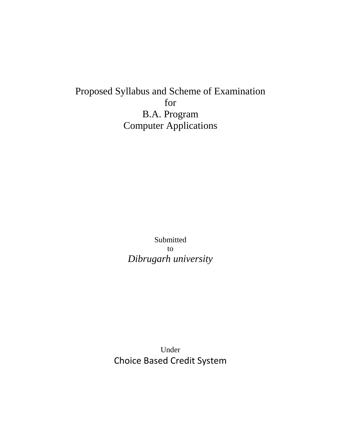Proposed Syllabus and Scheme of Examination for B.A. Program Computer Applications

> Submitted to *Dibrugarh university*

Under Choice Based Credit System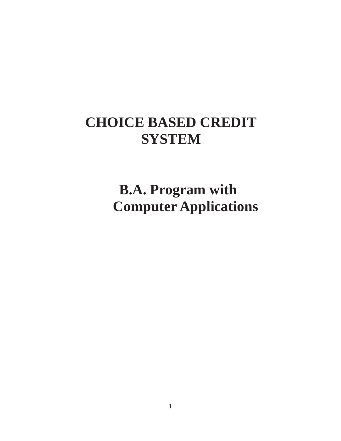# **CHOICE BASED CREDIT SYSTEM**

 **B.A. Program with Computer Applications**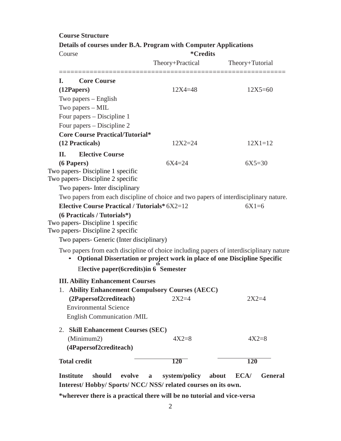| Details of courses under B.A. Program with Computer Applications<br>Course |                                                                        | <i><b>*Credits</b></i>                                                                                                                                              |                 |
|----------------------------------------------------------------------------|------------------------------------------------------------------------|---------------------------------------------------------------------------------------------------------------------------------------------------------------------|-----------------|
|                                                                            |                                                                        | Theory+Practical                                                                                                                                                    | Theory+Tutorial |
| L.                                                                         | <b>Core Course</b>                                                     |                                                                                                                                                                     |                 |
|                                                                            | (12Papers)                                                             | $12X4 = 48$                                                                                                                                                         | $12X5 = 60$     |
|                                                                            | Two papers – English                                                   |                                                                                                                                                                     |                 |
|                                                                            | Two papers - MIL                                                       |                                                                                                                                                                     |                 |
|                                                                            | Four papers – Discipline 1                                             |                                                                                                                                                                     |                 |
|                                                                            | Four papers – Discipline 2                                             |                                                                                                                                                                     |                 |
|                                                                            | <b>Core Course Practical/Tutorial*</b>                                 |                                                                                                                                                                     |                 |
|                                                                            | (12 Practicals)                                                        | $12X2 = 24$                                                                                                                                                         | $12X1 = 12$     |
| П.                                                                         | <b>Elective Course</b>                                                 |                                                                                                                                                                     |                 |
|                                                                            | (6 Papers)                                                             | $6X4 = 24$                                                                                                                                                          | $6X5=30$        |
|                                                                            | Two papers- Discipline 1 specific<br>Two papers- Discipline 2 specific |                                                                                                                                                                     |                 |
|                                                                            | Two papers - Inter disciplinary                                        |                                                                                                                                                                     |                 |
|                                                                            |                                                                        | Two papers from each discipline of choice and two papers of interdisciplinary nature.                                                                               |                 |
|                                                                            | <b>Elective Course Practical / Tutorials* 6X2=12</b>                   |                                                                                                                                                                     | $6X1=6$         |
|                                                                            | (6 Practicals / Tutorials*)                                            |                                                                                                                                                                     |                 |
|                                                                            | Two papers - Discipline 1 specific                                     |                                                                                                                                                                     |                 |
|                                                                            | Two papers- Discipline 2 specific                                      |                                                                                                                                                                     |                 |
|                                                                            | Two papers- Generic (Inter disciplinary)                               |                                                                                                                                                                     |                 |
|                                                                            |                                                                        | Two papers from each discipline of choice including papers of interdisciplinary nature<br>Optional Dissertation or project work in place of one Discipline Specific |                 |
|                                                                            | Elective paper(6credits) in 6 Semester                                 |                                                                                                                                                                     |                 |
|                                                                            | <b>III. Ability Enhancement Courses</b>                                |                                                                                                                                                                     |                 |
|                                                                            |                                                                        | 1. Ability Enhancement Compulsory Courses (AECC)                                                                                                                    |                 |
|                                                                            | (2Papersof2crediteach)                                                 | $2X2=4$                                                                                                                                                             | $2X2=4$         |
|                                                                            | <b>Environmental Science</b>                                           |                                                                                                                                                                     |                 |
|                                                                            | English Communication /MIL                                             |                                                                                                                                                                     |                 |
|                                                                            | 2. Skill Enhancement Courses (SEC)                                     |                                                                                                                                                                     |                 |
|                                                                            | (Minimum2)                                                             | $4X2=8$                                                                                                                                                             | $4X2=8$         |
|                                                                            | (4Papersof2crediteach)                                                 |                                                                                                                                                                     |                 |
|                                                                            | <b>Total credit</b>                                                    | <b>120</b>                                                                                                                                                          | 120             |
|                                                                            |                                                                        |                                                                                                                                                                     |                 |

**Course Structure**

**Institute should evolve a system/policy about ECA/ General Interest/ Hobby/ Sports/ NCC/ NSS/ related courses on its own.**

**\*wherever there is a practical there will be no tutorial and vice-versa**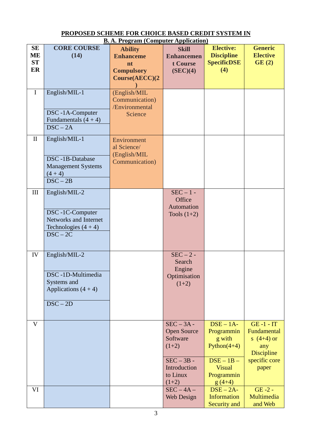| <b>B.A. Program (Computer Application)</b> |                                                                                                   |                                                                                 |                                                                                                                  |                                                                                                                                                     |                                                                                            |
|--------------------------------------------|---------------------------------------------------------------------------------------------------|---------------------------------------------------------------------------------|------------------------------------------------------------------------------------------------------------------|-----------------------------------------------------------------------------------------------------------------------------------------------------|--------------------------------------------------------------------------------------------|
| <b>SE</b><br>ME<br><b>ST</b><br>ER         | <b>CORE COURSE</b><br>(14)                                                                        | <b>Ability</b><br><b>Enhanceme</b><br>nt<br><b>Compulsory</b><br>Course(AECC)(2 | <b>Skill</b><br><b>Enhancemen</b><br>t Course<br>(SEC)(4)                                                        | <b>Elective:</b><br><b>Discipline</b><br><b>SpecificDSE</b><br>(4)                                                                                  | <b>Generic</b><br><b>Elective</b><br>GE(2)                                                 |
| $\mathbf I$                                | English/MIL-1<br>DSC-1A-Computer<br>Fundamentals $(4 + 4)$<br>$DSC - 2A$                          | (English/MIL<br>Communication)<br>/Environmental<br>Science                     |                                                                                                                  |                                                                                                                                                     |                                                                                            |
| $\mathbf{I}$                               | English/MIL-1<br>DSC-1B-Database<br><b>Management Systems</b><br>$(4 + 4)$<br>$DSC - 2B$          | Environment<br>al Science/<br>(English/MIL<br>Communication)                    |                                                                                                                  |                                                                                                                                                     |                                                                                            |
| III                                        | English/MIL-2<br>DSC-1C-Computer<br>Networks and Internet<br>Technologies $(4 + 4)$<br>$DSC - 2C$ |                                                                                 | $SEC - 1 -$<br>Office<br>Automation<br>Tools $(1+2)$                                                             |                                                                                                                                                     |                                                                                            |
| IV                                         | English/MIL-2<br>DSC-1D-Multimedia<br>Systems and<br>Applications $(4 + 4)$<br>$DSC - 2D$         |                                                                                 | $SEC - 2 -$<br>Search<br>Engine<br>Optimisation<br>$(1+2)$                                                       |                                                                                                                                                     |                                                                                            |
| $\mathbf{V}$                               |                                                                                                   |                                                                                 | $SEC - 3A -$<br><b>Open Source</b><br>Software<br>$(1+2)$<br>$SEC - 3B -$<br>Introduction<br>to Linux<br>$(1+2)$ | $\overline{\text{DSE}} - 1\overline{\text{A}}$<br>Programmin<br>g with<br>Python $(4+4)$<br>$DSE - 1B -$<br><b>Visual</b><br>Programmin<br>$g(4+4)$ | $GE -1 - IT$<br>Fundamental<br>s $(4+4)$ or<br>any<br>Discipline<br>specific core<br>paper |
| VI                                         |                                                                                                   |                                                                                 | $SEC - 4A -$<br><b>Web Design</b>                                                                                | $\overline{\text{DSE} - 2\text{A}}$ -<br><b>Information</b><br>Security and                                                                         | $GE -2 -$<br>Multimedia<br>and Web                                                         |

#### **PROPOSED SCHEME FOR CHOICE BASED CREDIT SYSTEM IN**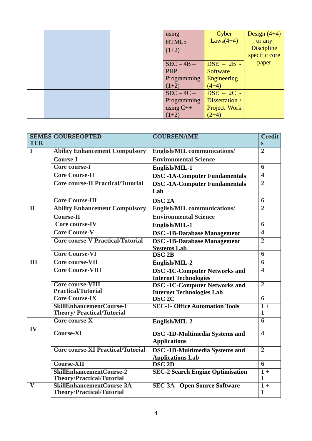|  | using<br>HTML5 | Cyber<br>$Laws(4+4)$                             | Design $(4+4)$<br>or any           |
|--|----------------|--------------------------------------------------|------------------------------------|
|  | $(1+2)$        |                                                  | <b>Discipline</b><br>specific core |
|  | $SEC - 4B -$   | $\overline{\text{DSE}} - 2\overline{\text{B}}$ - | paper                              |
|  | PHP            | Software                                         |                                    |
|  | Programming    | Engineering                                      |                                    |
|  | $(1+2)$        | $(4+4)$                                          |                                    |
|  | $SEC - 4C -$   | $\overline{\text{DSE}} - 2\overline{\text{C}}$ - |                                    |
|  | Programming    | Dissertation /                                   |                                    |
|  | using $C++$    | Project Work                                     |                                    |
|  | $(1+2)$        | $(2+4)$                                          |                                    |

|                         | <b>SEMES COURSEOPTED</b>                      | <b>COURSENAME</b>                                                | <b>Credit</b>           |
|-------------------------|-----------------------------------------------|------------------------------------------------------------------|-------------------------|
| <b>TER</b>              |                                               |                                                                  | S                       |
| I                       | <b>Ability Enhancement Compulsory</b>         | <b>English/MIL communications/</b>                               | $\overline{2}$          |
|                         | <b>Course-I</b>                               | <b>Environmental Science</b>                                     |                         |
|                         | Core course-I                                 | English/MIL-1                                                    | 6                       |
|                         | <b>Core Course-II</b>                         | <b>DSC-1A-Computer Fundamentals</b>                              | $\overline{\mathbf{4}}$ |
|                         | <b>Core course-II Practical/Tutorial</b>      | <b>DSC -1A-Computer Fundamentals</b>                             | $\overline{2}$          |
|                         |                                               | Lab                                                              |                         |
|                         | <b>Core Course-III</b>                        | <b>DSC 2A</b>                                                    | $\overline{6}$          |
| $\overline{\rm II}$     | <b>Ability Enhancement Compulsory</b>         | <b>English/MIL communications/</b>                               | $\overline{2}$          |
|                         | <b>Course-II</b>                              | <b>Environmental Science</b>                                     |                         |
|                         | Core course-IV                                | English/MIL-1                                                    | 6                       |
|                         | <b>Core Course-V</b>                          | <b>DSC -1B-Database Management</b>                               | $\overline{\mathbf{4}}$ |
|                         | <b>Core course-V Practical/Tutorial</b>       | <b>DSC</b> -1B-Database Management                               | $\overline{2}$          |
|                         |                                               | <b>Systems Lab</b>                                               |                         |
|                         | <b>Core Course-VI</b>                         | DSC <sub>2B</sub>                                                | 6                       |
| $\overline{\mathbf{H}}$ | Core course-VII                               | English/MIL-2                                                    | $\overline{6}$          |
|                         | <b>Core Course-VIII</b>                       | <b>DSC -1C-Computer Networks and</b>                             | 4                       |
|                         |                                               | <b>Internet Technologies</b>                                     |                         |
|                         | Core course-VIII<br><b>Practical/Tutorial</b> | <b>DSC-1C-Computer Networks and</b>                              | $\overline{2}$          |
|                         | <b>Core Course-IX</b>                         | <b>Internet Technologies Lab</b><br>DSC <sub>2C</sub>            | $\overline{6}$          |
|                         | <b>SkillEnhancementCourse-1</b>               | <b>SEC-1- Office Automation Tools</b>                            | $1 +$                   |
|                         | <b>Theory/Practical/Tutorial</b>              |                                                                  | $\mathbf{1}$            |
|                         | Core course-X                                 | English/MIL-2                                                    | $\overline{6}$          |
| IV                      | <b>Course-XI</b>                              | <b>DSC</b> -1D-Multimedia Systems and<br><b>Applications</b>     | $\overline{\mathbf{4}}$ |
|                         | <b>Core course-XI Practical/Tutorial</b>      | <b>DSC -1D-Multimedia Systems and</b><br><b>Applications Lab</b> | $\overline{2}$          |
|                         | <b>Course-XII</b>                             | DSC <sub>2D</sub>                                                | 6                       |
|                         | <b>SkillEnhancementCourse-2</b>               | <b>SEC-2 Search Engine Optimisation</b>                          | $\overline{1+}$         |
|                         | <b>Theory/Practical/Tutorial</b>              |                                                                  | $\mathbf{1}$            |
| $\overline{\mathbf{V}}$ | <b>SkillEnhancementCourse-3A</b>              | <b>SEC-3A - Open Source Software</b>                             | $\overline{1}$ +        |
|                         | <b>Theory/Practical/Tutorial</b>              |                                                                  | $\mathbf{1}$            |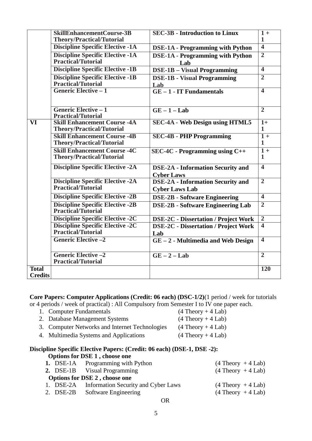|                          | <b>SkillEnhancementCourse-3B</b>        | <b>SEC-3B - Introduction to Linux</b>       | $1 +$                   |
|--------------------------|-----------------------------------------|---------------------------------------------|-------------------------|
|                          | <b>Theory/Practical/Tutorial</b>        |                                             | 1                       |
|                          | <b>Discipline Specific Elective -1A</b> | <b>DSE-1A - Programming with Python</b>     | $\overline{4}$          |
|                          | <b>Discipline Specific Elective -1A</b> | <b>DSE-1A - Programming with Python</b>     | $\overline{2}$          |
|                          | <b>Practical/Tutorial</b>               | Lab                                         |                         |
|                          | <b>Discipline Specific Elective -1B</b> | <b>DSE-1B - Visual Programming</b>          | $\overline{\mathbf{4}}$ |
|                          | <b>Discipline Specific Elective -1B</b> | <b>DSE-1B - Visual Programming</b>          | $\overline{2}$          |
|                          | Practical/Tutorial                      | Lab                                         |                         |
|                          | <b>Generic Elective - 1</b>             | $GE - 1 - IT$ Fundamentals                  | $\overline{4}$          |
|                          |                                         |                                             |                         |
|                          | <b>Generic Elective - 1</b>             | $GE - 1 - Lab$                              | $\overline{2}$          |
|                          | <b>Practical/Tutorial</b>               |                                             |                         |
| $\overline{\mathbf{VI}}$ | <b>Skill Enhancement Course -4A</b>     | <b>SEC-4A - Web Design using HTML5</b>      | $1+$                    |
|                          | <b>Theory/Practical/Tutorial</b>        |                                             | $\mathbf{1}$            |
|                          | <b>Skill Enhancement Course -4B</b>     | <b>SEC-4B - PHP Programming</b>             | $1 +$                   |
|                          | <b>Theory/Practical/Tutorial</b>        |                                             | $\mathbf{1}$            |
|                          | <b>Skill Enhancement Course -4C</b>     | $SEC-4C - Programming using C++$            | $1 +$                   |
|                          | <b>Theory/Practical/Tutorial</b>        |                                             | $\mathbf{1}$            |
|                          | <b>Discipline Specific Elective -2A</b> | <b>DSE-2A - Information Security and</b>    | $\overline{4}$          |
|                          |                                         | <b>Cyber Laws</b>                           |                         |
|                          | <b>Discipline Specific Elective -2A</b> | <b>DSE-2A - Information Security and</b>    | $\overline{2}$          |
|                          | Practical/Tutorial                      | <b>Cyber Laws Lab</b>                       |                         |
|                          | <b>Discipline Specific Elective -2B</b> | <b>DSE-2B - Software Engineering</b>        | $\overline{4}$          |
|                          | <b>Discipline Specific Elective -2B</b> | <b>DSE-2B - Software Engineering Lab</b>    | $\overline{2}$          |
|                          | <b>Practical/Tutorial</b>               |                                             |                         |
|                          | <b>Discipline Specific Elective -2C</b> | <b>DSE-2C - Dissertation / Project Work</b> | $\overline{2}$          |
|                          | <b>Discipline Specific Elective -2C</b> | <b>DSE-2C - Dissertation / Project Work</b> | $\overline{\mathbf{4}}$ |
|                          | <b>Practical/Tutorial</b>               | Lab                                         |                         |
|                          | <b>Generic Elective -2</b>              | $GE - 2$ - Multimedia and Web Design        | $\overline{4}$          |
|                          |                                         |                                             |                         |
|                          | <b>Generic Elective -2</b>              | $GE - 2 - Lab$                              | $\overline{2}$          |
|                          | <b>Practical/Tutorial</b>               |                                             |                         |
| <b>Total</b>             |                                         |                                             | <b>120</b>              |
| <b>Credits</b>           |                                         |                                             |                         |

**Core Papers: Computer Applications (Credit: 06 each) (DSC-1/2)**(1 period / week for tutorials or 4 periods / week of practical) : All Compulsory from Semester I to IV one paper each.

| 1. Computer Fundamentals                       | $(4$ Theory + 4 Lab) |
|------------------------------------------------|----------------------|
| 2. Database Management Systems                 | $(4$ Theory + 4 Lab) |
| 3. Computer Networks and Internet Technologies | $(4$ Theory + 4 Lab) |
| 4. Multimedia Systems and Applications         | $(4$ Theory + 4 Lab) |

#### **Discipline Specific Elective Papers: (Credit: 06 each) (DSE-1, DSE -2): Options for DSE 1 , choose one**

| <b>1.</b> DSE-1A Programming with Python      | $(4$ Theory + 4 Lab) |
|-----------------------------------------------|----------------------|
| 2. DSE-1B Visual Programming                  | $(4$ Theory + 4 Lab) |
| <b>Options for DSE 2, choose one</b>          |                      |
| 1. DSE-2A Information Security and Cyber Laws | $(4$ Theory + 4 Lab) |
| 2. DSE-2B Software Engineering                | $(4$ Theory + 4 Lab) |
|                                               |                      |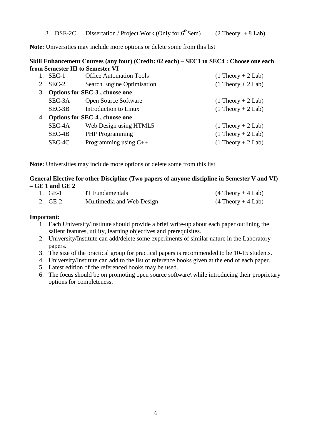3. DSE-2C Dissertation / Project Work (Only for  $6^{th}$ Sem) (2 Theory + 8 Lab)

**Note:** Universities may include more options or delete some from this list

#### **Skill Enhancement Courses (any four) (Credit: 02 each) – SEC1 to SEC4 : Choose one each from Semester III to Semester VI**

| 1. SEC-1 | <b>Office Automation Tools</b>   | $(1$ Theory + 2 Lab) |
|----------|----------------------------------|----------------------|
| 2. SEC-2 | Search Engine Optimisation       | $(1$ Theory + 2 Lab) |
|          | 3. Options for SEC-3, choose one |                      |
| SEC-3A   | <b>Open Source Software</b>      | $(1$ Theory + 2 Lab) |
| $SEC-3B$ | Introduction to Linux            | $(1$ Theory + 2 Lab) |
|          | 4. Options for SEC-4, choose one |                      |
| SEC-4A   | Web Design using HTML5           | $(1$ Theory + 2 Lab) |
| SEC-4B   | <b>PHP</b> Programming           | $(1$ Theory + 2 Lab) |
| SEC-4C   | Programming using $C++$          | $(1$ Theory + 2 Lab) |
|          |                                  |                      |

**Note:** Universities may include more options or delete some from this list

#### **General Elective for other Discipline (Two papers of anyone discipline in Semester V and VI) – GE 1 and GE 2**

| 1. GE-1 | <b>IT</b> Fundamentals    | $(4$ Theory + 4 Lab) |
|---------|---------------------------|----------------------|
| 2. GE-2 | Multimedia and Web Design | $(4$ Theory + 4 Lab) |

#### **Important:**

- 1. Each University/Institute should provide a brief write-up about each paper outlining the salient features, utility, learning objectives and prerequisites.
- 2. University/Institute can add/delete some experiments of similar nature in the Laboratory papers.
- 3. The size of the practical group for practical papers is recommended to be 10-15 students.
- 4. University/Institute can add to the list of reference books given at the end of each paper.
- 5. Latest edition of the referenced books may be used.
- 6. The focus should be on promoting open source software\ while introducing their proprietary options for completeness.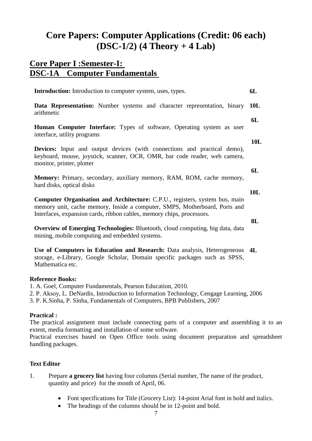# **Core Papers: Computer Applications (Credit: 06 each) (DSC-1/2) (4 Theory + 4 Lab)**

# **Core Paper I :Semester-I: DSC-1A Computer Fundamentals**

| <b>Introduction:</b> Introduction to computer system, uses, types.                                                                                                                                                                        | 6L         |
|-------------------------------------------------------------------------------------------------------------------------------------------------------------------------------------------------------------------------------------------|------------|
| <b>Data Representation:</b> Number systems and character representation, binary<br>arithmetic                                                                                                                                             | 10L        |
| <b>Human Computer Interface:</b> Types of software, Operating system as user<br>interface, utility programs                                                                                                                               | 6L         |
| <b>Devices:</b> Input and output devices (with connections and practical demo),<br>keyboard, mouse, joystick, scanner, OCR, OMR, bar code reader, web camera,<br>monitor, printer, plotter                                                | <b>10L</b> |
| Memory: Primary, secondary, auxiliary memory, RAM, ROM, cache memory,<br>hard disks, optical disks                                                                                                                                        | 6L         |
| <b>Computer Organisation and Architecture:</b> C.P.U., registers, system bus, main<br>memory unit, cache memory, Inside a computer, SMPS, Motherboard, Ports and<br>Interfaces, expansion cards, ribbon cables, memory chips, processors. | 10L        |
| Overview of Emerging Technologies: Plugtoath, cloud computing hig data data                                                                                                                                                               | 8L         |

**Overview of Emerging Technologies:** Bluetooth, cloud computing, big data, data mining, mobile computing and embedded systems.

**Use of Computers in Education and Research:** Data analysis, Heterogeneous **4L** storage, e-Library, Google Scholar, Domain specific packages such as SPSS, Mathematica etc.

### **Reference Books:**

1. A. Goel, Computer Fundamentals, Pearson Education, 2010.

2. P. Aksoy, L. DeNardis, Introduction to Information Technology, Cengage Learning, 2006

3. P. K.Sinha, P. Sinha, Fundamentals of Computers, BPB Publishers, 2007

# **Practical :**

The practical assignment must include connecting parts of a computer and assembling it to an extent, media formatting and installation of some software.

Practical exercises based on Open Office tools using document preparation and spreadsheet handling packages.

# **Text Editor**

- 1. Prepare **a grocery list** having four columns (Serial number, The name of the product, quantity and price) for the month of April, 06.
	- Font specifications for Title (Grocery List): 14-point Arial font in bold and italics.
	- The headings of the columns should be in 12-point and bold.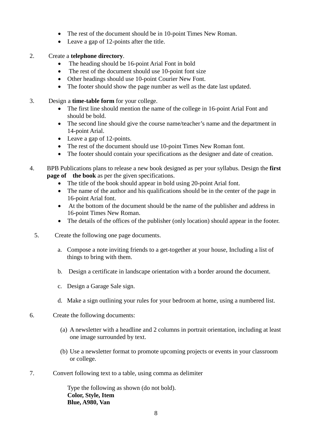- The rest of the document should be in 10-point Times New Roman.
- Leave a gap of 12-points after the title.

#### 2. Create a **telephone directory**.

- The heading should be 16-point Arial Font in bold
- The rest of the document should use 10-point font size
- Other headings should use 10-point Courier New Font.
- The footer should show the page number as well as the date last updated.
- 3. Design a **time-table form** for your college.
	- The first line should mention the name of the college in 16-point Arial Font and should be bold.
	- The second line should give the course name/teacher's name and the department in 14-point Arial.
	- Leave a gap of 12-points.
	- The rest of the document should use 10-point Times New Roman font.
	- The footer should contain your specifications as the designer and date of creation.
- 4. BPB Publications plans to release a new book designed as per your syllabus. Design the **first page of** the book as per the given specifications.
	- The title of the book should appear in bold using 20-point Arial font.
	- The name of the author and his qualifications should be in the center of the page in 16-point Arial font.
	- At the bottom of the document should be the name of the publisher and address in 16-point Times New Roman.
	- The details of the offices of the publisher (only location) should appear in the footer.
	- 5. Create the following one page documents.
		- a. Compose a note inviting friends to a get-together at your house, Including a list of things to bring with them.
		- b. Design a certificate in landscape orientation with a border around the document.
		- c. Design a Garage Sale sign.
		- d. Make a sign outlining your rules for your bedroom at home, using a numbered list.
- 6. Create the following documents:
	- (a) A newsletter with a headline and 2 columns in portrait orientation, including at least one image surrounded by text.
	- (b) Use a newsletter format to promote upcoming projects or events in your classroom or college.
- 7. Convert following text to a table, using comma as delimiter

Type the following as shown (do not bold). **Color, Style, Item Blue, A980, Van**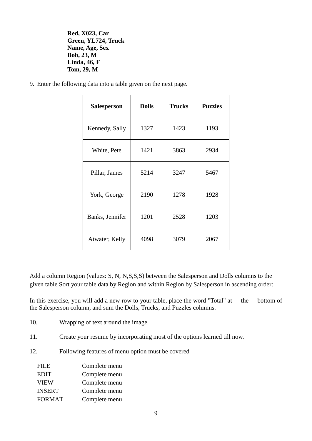**Red, X023, Car Green, YL724, Truck Name, Age, Sex Bob, 23, M Linda, 46, F Tom, 29, M**

9. Enter the following data into a table given on the next page.

| <b>Salesperson</b> | <b>Dolls</b> | <b>Trucks</b> | <b>Puzzles</b> |
|--------------------|--------------|---------------|----------------|
| Kennedy, Sally     | 1327         | 1423          | 1193           |
| White, Pete        | 1421         | 3863          | 2934           |
| Pillar, James      | 5214         | 3247          | 5467           |
| York, George       | 2190         | 1278          | 1928           |
| Banks, Jennifer    | 1201         | 2528          | 1203           |
| Atwater, Kelly     | 4098         | 3079          | 2067           |

Add a column Region (values: S, N, N,S,S,S) between the Salesperson and Dolls columns to the given table Sort your table data by Region and within Region by Salesperson in ascending order:

In this exercise, you will add a new row to your table, place the word "Total" at the bottom of the Salesperson column, and sum the Dolls, Trucks, and Puzzles columns.

- 10. Wrapping of text around the image.
- 11. Create your resume by incorporating most of the options learned till now.
- 12. Following features of menu option must be covered

| <b>FILE</b>   | Complete menu |
|---------------|---------------|
| <b>EDIT</b>   | Complete menu |
| <b>VIEW</b>   | Complete menu |
| <b>INSERT</b> | Complete menu |
| <b>FORMAT</b> | Complete menu |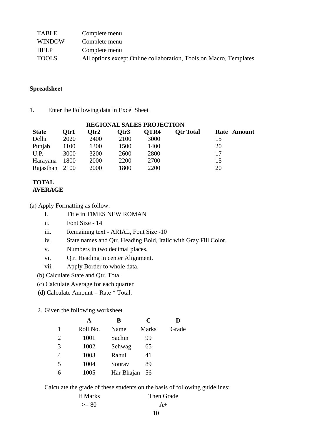| TABLE         | Complete menu                                                      |
|---------------|--------------------------------------------------------------------|
| <b>WINDOW</b> | Complete menu                                                      |
| <b>HELP</b>   | Complete menu                                                      |
| <b>TOOLS</b>  | All options except Online collaboration, Tools on Macro, Templates |

#### **Spreadsheet**

1. Enter the Following data in Excel Sheet

| <b>REGIONAL SALES PROJECTION</b> |      |      |      |      |                  |             |  |
|----------------------------------|------|------|------|------|------------------|-------------|--|
| <b>State</b>                     | Otr1 | Otr2 | Qtr3 | OTR4 | <b>Otr Total</b> | Rate Amount |  |
| Delhi                            | 2020 | 2400 | 2100 | 3000 |                  | 15          |  |
| Punjab                           | 1100 | 1300 | 1500 | 1400 |                  | 20          |  |
| U.P.                             | 3000 | 3200 | 2600 | 2800 |                  | 17          |  |
| Harayana                         | 1800 | 2000 | 2200 | 2700 |                  | 15          |  |
| Rajasthan 2100                   |      | 2000 | 1800 | 2200 |                  | 20          |  |

#### **TOTAL AVERAGE**

(a) Apply Formatting as follow:

ii. Font Size - 14

iii. Remaining text - ARIAL, Font Size -10

- iv. State names and Qtr. Heading Bold, Italic with Gray Fill Color.
- v. Numbers in two decimal places.
- vi. Qtr. Heading in center Alignment.
- vii. Apply Border to whole data.

(b) Calculate State and Qtr. Total

(c) Calculate Average for each quarter

(d) Calculate Amount = Rate  $*$  Total.

2. Given the following worksheet

|   | A        | В          | C            | D     |
|---|----------|------------|--------------|-------|
|   | Roll No. | Name       | <b>Marks</b> | Grade |
| 2 | 1001     | Sachin     | 99           |       |
| 3 | 1002     | Sehwag     | 65           |       |
|   | 1003     | Rahul      | 41           |       |
| 5 | 1004     | Sourav     | 89           |       |
| 6 | 1005     | Har Bhajan | 56           |       |

Calculate the grade of these students on the basis of following guidelines:

| If Marks | Then Grade |
|----------|------------|
| $>= 80$  | $A+$       |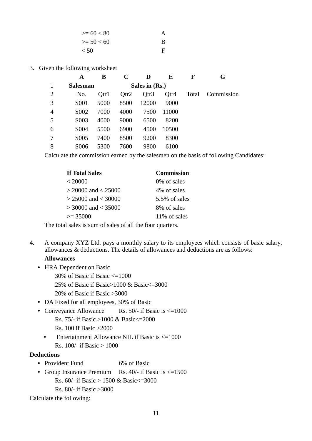| $>= 60 < 80$ | A |
|--------------|---|
| $>= 50 < 60$ | B |
| $\leq 50$    | F |

3. Given the following worksheet

|                | A                 | в    | C    |                | E     | F     | G          |
|----------------|-------------------|------|------|----------------|-------|-------|------------|
|                | <b>Salesman</b>   |      |      | Sales in (Rs.) |       |       |            |
| $\overline{2}$ | No.               | Otr1 | Qtr2 | Qtr3           | Qtr4  | Total | Commission |
| 3              | S <sub>001</sub>  | 5000 | 8500 | 12000          | 9000  |       |            |
| 4              | S <sub>0</sub> 02 | 7000 | 4000 | 7500           | 11000 |       |            |
| 5              | S <sub>0</sub> 03 | 4000 | 9000 | 6500           | 8200  |       |            |
| 6              | S <sub>004</sub>  | 5500 | 6900 | 4500           | 10500 |       |            |
| 7              | S <sub>0</sub> 05 | 7400 | 8500 | 9200           | 8300  |       |            |
| 8              | S006              | 5300 | 7600 | 9800           | 6100  |       |            |

Calculate the commission earned by the salesmen on the basis of following Candidates:

| <b>If Total Sales</b>   | <b>Commission</b> |
|-------------------------|-------------------|
| < 20000                 | 0\% of sales      |
| $>$ 20000 and $<$ 25000 | 4% of sales       |
| $> 25000$ and $< 30000$ | 5.5% of sales     |
| $>$ 30000 and $<$ 35000 | 8% of sales       |
| $\geq$ 35000            | 11\% of sales     |

The total sales is sum of sales of all the four quarters.

4. A company XYZ Ltd. pays a monthly salary to its employees which consists of basic salary, allowances & deductions. The details of allowances and deductions are as follows:

#### **Allowances**

- **•** HRA Dependent on Basic
	- 30% of Basic if Basic <=1000
	- 25% of Basic if Basic>1000 & Basic<=3000
	- 20% of Basic if Basic >3000
- **•** DA Fixed for all employees, 30% of Basic
- Conveyance Allowance Rs. 50/- if Basic is  $\leq 1000$ Rs. 75/- if Basic >1000 & Basic<=2000 Rs. 100 if Basic >2000
	- Entertainment Allowance NIL if Basic is  $\leq 1000$ Rs.  $100/-$  if Basic  $> 1000$

#### **Deductions**

- Provident Fund 6% of Basic
- Group Insurance Premium Rs. 40/- if Basic is  $\leq 1500$ Rs.  $60/-$  if Basic > 1500 & Basic <= 3000 Rs. 80/- if Basic >3000

Calculate the following: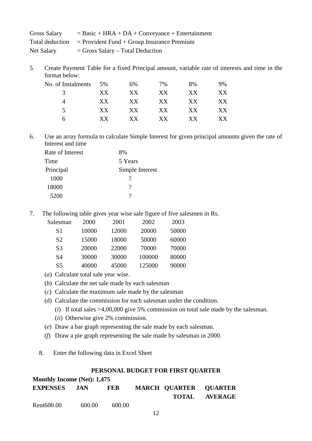| <b>Gross Salary</b> | $=$ Basic + HRA + DA + Conveyance + Entertainment            |
|---------------------|--------------------------------------------------------------|
|                     | Total deduction $=$ Provident Fund + Group Insurance Premium |
| Net Salary          | $=$ Gross Salary – Total Deduction                           |

5. Create Payment Table for a fixed Principal amount, variable rate of interests and time in the format below:

| No. of Instalments | 5%  | 6%  | 7%  | 8%  | 9%  |
|--------------------|-----|-----|-----|-----|-----|
| 3                  | XX. | XX. | XX  | XX. | XX  |
|                    | XX  | XX. | XX. | XX  | XX  |
| 5.                 | XX. | XX  | XX  | XX  | XХ  |
| h                  | XX. | XX. | XX. | X X | X X |

6. Use an array formula to calculate Simple Interest for given principal amounts given the rate of Interest and time

| Rate of Interest | 8%              |
|------------------|-----------------|
| Time             | 5 Years         |
| Principal        | Simple Interest |
| 1000             |                 |
| 18000            | 2               |
| 5200             | 9               |
|                  |                 |

7. The following table gives year wise sale figure of five salesmen in Rs.

| Salesman       | 2000  | 2001  | 2002   | 2003  |
|----------------|-------|-------|--------|-------|
| S1             | 10000 | 12000 | 20000  | 50000 |
| S <sub>2</sub> | 15000 | 18000 | 50000  | 60000 |
| S <sub>3</sub> | 20000 | 22000 | 70000  | 70000 |
| S4             | 30000 | 30000 | 100000 | 80000 |
| S <sub>5</sub> | 40000 | 45000 | 125000 | 90000 |

- (*a*) Calculate total sale year wise.
- (*b*) Calculate the net sale made by each salesman
- (*c*) Calculate the maximum sale made by the salesman
- (d) Calculate the commission for each salesman under the condition.
	- (*i*) If total sales >4,00,000 give 5% commission on total sale made by the salesman.
	- (*ii*) Otherwise give 2% commission.
- (*e*) Draw a bar graph representing the sale made by each salesman.
- (*f*) Draw a pie graph representing the sale made by salesman in 2000.
- 8. Enter the following data in Excel Sheet

#### **PERSONAL BUDGET FOR FIRST QUARTER**

### **Monthly Income (Net): 1,475 EXPENSES JAN FEB MARCH QUARTER QUARTER TOTAL AVERAGE** Rent600.00 600.00 600.00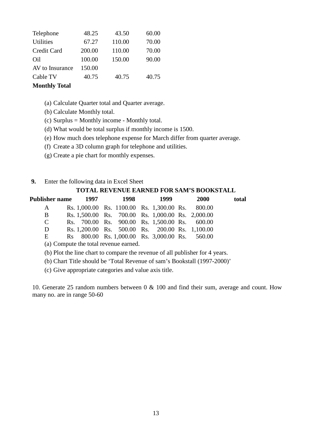| Telephone                      | 48.25  | 43.50  | 60.00 |
|--------------------------------|--------|--------|-------|
| <b>Utilities</b>               | 67.27  | 110.00 | 70.00 |
| Credit Card                    | 200.00 | 110.00 | 70.00 |
| Oil                            | 100.00 | 150.00 | 90.00 |
| AV to Insurance                | 150.00 |        |       |
| Cable TV                       | 40.75  | 40.75  | 40.75 |
| $M_{\alpha\alpha}$ tkler Tatal |        |        |       |

#### **Monthly Total**

- (a) Calculate Quarter total and Quarter average.
- (b) Calculate Monthly total.
- (c) Surplus = Monthly income Monthly total.
- (d) What would be total surplus if monthly income is 1500.
- (e) How much does telephone expense for March differ from quarter average.
- (f) Create a 3D column graph for telephone and utilities.
- (g) Create a pie chart for monthly expenses.

#### **9.** Enter the following data in Excel Sheet

#### **TOTAL REVENUE EARNED FOR SAM'S BOOKSTALL**

| Publisher name | 1997 | 1998 | 1999                                              | <b>2000</b> | total |
|----------------|------|------|---------------------------------------------------|-------------|-------|
| $\mathbf{A}$   |      |      | Rs. 1,000.00 Rs. 1100.00 Rs. 1,300.00 Rs. 800.00  |             |       |
| B              |      |      | Rs. 1,500.00 Rs. 700.00 Rs. 1,000.00 Rs. 2,000.00 |             |       |
| $\mathbf C$    |      |      | Rs. 700.00 Rs. 900.00 Rs. 1,500.00 Rs. 600.00     |             |       |
| D              |      |      | Rs. 1,200.00 Rs. 500.00 Rs. 200.00 Rs. 1,100.00   |             |       |
| E              |      |      | Rs 800.00 Rs. 1,000.00 Rs. 3,000.00 Rs. 560.00    |             |       |
|                |      |      |                                                   |             |       |

(a) Compute the total revenue earned.

(b) Plot the line chart to compare the revenue of all publisher for 4 years.

(b) Chart Title should be 'Total Revenue of sam's Bookstall (1997-2000)'

(c) Give appropriate categories and value axis title.

10. Generate 25 random numbers between 0 & 100 and find their sum, average and count. How many no. are in range 50-60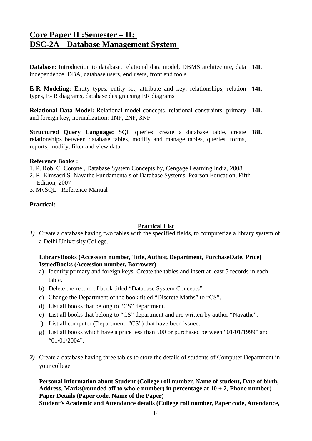# **Core Paper II :Semester – II: DSC-2A Database Management System**

**Database:** Introduction to database, relational data model, DBMS architecture, data **14L** independence, DBA, database users, end users, front end tools

**E-R Modeling:** Entity types, entity set, attribute and key, relationships, relation **14L** types, E- R diagrams, database design using ER diagrams

**Relational Data Model:** Relational model concepts, relational constraints, primary **14L** and foreign key, normalization: 1NF, 2NF, 3NF

**Structured Query Language:** SQL queries, create a database table, create **18L** relationships between database tables, modify and manage tables, queries, forms, reports, modify, filter and view data.

#### **Reference Books :**

- 1. P. Rob, C. Coronel, Database System Concepts by, Cengage Learning India, 2008
- 2. R. Elmsasri,S. Navathe Fundamentals of Database Systems, Pearson Education, Fifth Edition, 2007
- 3. MySQL : Reference Manual

#### **Practical:**

#### **Practical List**

*1)* Create a database having two tables with the specified fields, to computerize a library system of a Delhi University College.

#### **LibraryBooks (Accession number, Title, Author, Department, PurchaseDate, Price) IssuedBooks (Accession number, Borrower)**

- a) Identify primary and foreign keys. Create the tables and insert at least 5 records in each table.
- b) Delete the record of book titled "Database System Concepts".
- c) Change the Department of the book titled "Discrete Maths" to "CS".
- d) List all books that belong to "CS" department.
- e) List all books that belong to "CS" department and are written by author "Navathe".
- f) List all computer (Department="CS") that have been issued.
- g) List all books which have a price less than 500 or purchased between "01/01/1999" and "01/01/2004".
- *2)* Create a database having three tables to store the details of students of Computer Department in your college.

**Personal information about Student (College roll number, Name of student, Date of birth, Address, Marks(rounded off to whole number) in percentage at 10 + 2, Phone number) Paper Details (Paper code, Name of the Paper)**

**Student's Academic and Attendance details (College roll number, Paper code, Attendance,**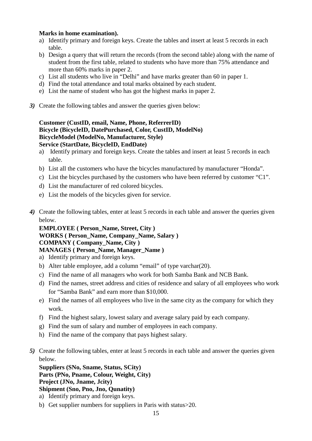#### **Marks in home examination).**

- a) Identify primary and foreign keys. Create the tables and insert at least 5 records in each table.
- b) Design a query that will return the records (from the second table) along with the name of student from the first table, related to students who have more than 75% attendance and more than 60% marks in paper 2.
- c) List all students who live in "Delhi" and have marks greater than 60 in paper 1.
- d) Find the total attendance and total marks obtained by each student.
- e) List the name of student who has got the highest marks in paper 2.
- *3)* Create the following tables and answer the queries given below:

#### **Customer (CustID, email, Name, Phone, ReferrerID) Bicycle (BicycleID, DatePurchased, Color, CustID, ModelNo) BicycleModel (ModelNo, Manufacturer, Style) Service (StartDate, BicycleID, EndDate)**

- a) Identify primary and foreign keys. Create the tables and insert at least 5 records in each table.
- b) List all the customers who have the bicycles manufactured by manufacturer "Honda".
- c) List the bicycles purchased by the customers who have been referred by customer "C1".
- d) List the manufacturer of red colored bicycles.
- e) List the models of the bicycles given for service.
- *4)* Create the following tables, enter at least 5 records in each table and answer the queries given below.

**EMPLOYEE ( Person\_Name, Street, City ) WORKS ( Person\_Name, Company\_Name, Salary ) COMPANY ( Company\_Name, City ) MANAGES ( Person\_Name, Manager\_Name )** 

- a) Identify primary and foreign keys.
- b) Alter table employee, add a column "email" of type varchar(20).
- c) Find the name of all managers who work for both Samba Bank and NCB Bank.
- d) Find the names, street address and cities of residence and salary of all employees who work for "Samba Bank" and earn more than \$10,000.
- e) Find the names of all employees who live in the same city as the company for which they work.
- f) Find the highest salary, lowest salary and average salary paid by each company.
- g) Find the sum of salary and number of employees in each company.
- h) Find the name of the company that pays highest salary.
- *5)* Create the following tables, enter at least 5 records in each table and answer the queries given below.

**Suppliers (SNo, Sname, Status, SCity) Parts (PNo, Pname, Colour, Weight, City) Project (JNo, Jname, Jcity) Shipment (Sno, Pno, Jno, Qunatity)**

- a) Identify primary and foreign keys.
- b) Get supplier numbers for suppliers in Paris with status>20.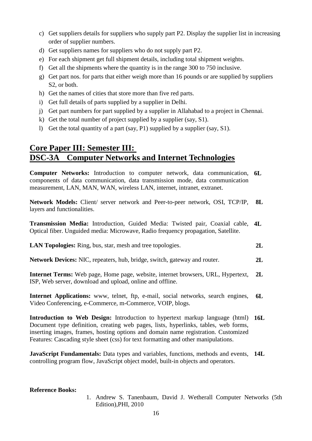- c) Get suppliers details for suppliers who supply part P2. Display the supplier list in increasing order of supplier numbers.
- d) Get suppliers names for suppliers who do not supply part P2.
- e) For each shipment get full shipment details, including total shipment weights.
- f) Get all the shipments where the quantity is in the range 300 to 750 inclusive.
- g) Get part nos. for parts that either weigh more than 16 pounds or are supplied by suppliers S2, or both.
- h) Get the names of cities that store more than five red parts.
- i) Get full details of parts supplied by a supplier in Delhi.
- j) Get part numbers for part supplied by a supplier in Allahabad to a project in Chennai.
- k) Get the total number of project supplied by a supplier (say, S1).
- l) Get the total quantity of a part (say, P1) supplied by a supplier (say, S1).

# **Core Paper III: Semester III: DSC-3A Computer Networks and Internet Technologies**

**Computer Networks:** Introduction to computer network, data communication, **6L** components of data communication, data transmission mode, data communication measurement, LAN, MAN, WAN, wireless LAN, internet, intranet, extranet.

**Network Models:** Client/ server network and Peer-to-peer network, OSI, TCP/IP, layers and functionalities. **8L**

**Transmission Media:** Introduction, Guided Media: Twisted pair, Coaxial cable, Optical fiber. Unguided media: Microwave, Radio frequency propagation, Satellite. **4L**

- **LAN Topologies:** Ring, bus, star, mesh and tree topologies. **2L**
- **Network Devices:** NIC, repeaters, hub, bridge, switch, gateway and router. **2L**

**Internet Terms:** Web page, Home page, website, internet browsers, URL, Hypertext, ISP, Web server, download and upload, online and offline. **2L**

**Internet Applications:** www, telnet, ftp, e-mail, social networks, search engines, Video Conferencing, e-Commerce, m-Commerce, VOIP, blogs. **6L**

**Introduction to Web Design:** Introduction to hypertext markup language (html) **16L** Document type definition, creating web pages, lists, hyperlinks, tables, web forms, inserting images, frames, hosting options and domain name registration. Customized Features: Cascading style sheet (css) for text formatting and other manipulations.

**JavaScript Fundamentals:** Data types and variables, functions, methods and events, **14L** controlling program flow, JavaScript object model, built-in objects and operators.

#### **Reference Books:**

1. Andrew S. Tanenbaum, David J. Wetherall Computer Networks (5th Edition),PHI, 2010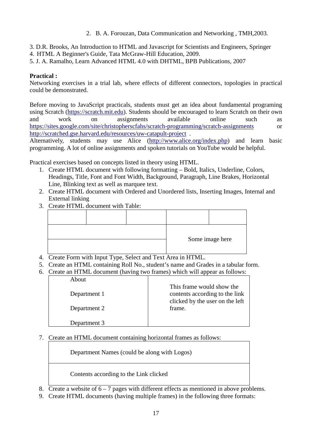- 2. B. A. Forouzan, Data Communication and Networking , TMH,2003.
- 3. D.R. Brooks, An Introduction to HTML and Javascript for Scientists and Engineers, Springer
- 4. HTML A Beginner's Guide, Tata McGraw-Hill Education, 2009.
- 5. J. A. Ramalho, Learn Advanced HTML 4.0 with DHTML, BPB Publications, 2007

#### **Practical :**

Networking exercises in a trial lab, where effects of different connectors, topologies in practical could be demonstrated.

Before moving to JavaScript practicals, students must get an idea about fundamental programing using Scratch [\(https://scratch.mit.edu\)](https://scratch.mit.edu/). Students should be encouraged to learn Scratch on their own and work on assignments available online such as <https://sites.google.com/site/christopherscfahs/scratch-programming/scratch-assignments> or <http://scratched.gse.harvard.edu/resources/uw-catapult-project>.

Alternatively, students may use Alice [\(http://www.alice.org/index.php\)](http://www.alice.org/index.php) and learn basic programming. A lot of online assignments and spoken tutorials on YouTube would be helpful.

Practical exercises based on concepts listed in theory using HTML.

- 1. Create HTML document with following formatting Bold, Italics, Underline, Colors, Headings, Title, Font and Font Width, Background, Paragraph, Line Brakes, Horizontal Line, Blinking text as well as marquee text.
- 2. Create HTML document with Ordered and Unordered lists, Inserting Images, Internal and External linking
- 3. Create HTML document with Table:

|  |  | Some image here |
|--|--|-----------------|

- 4. Create Form with Input Type, Select and Text Area in HTML.
- 5. Create an HTML containing Roll No., student's name and Grades in a tabular form.
- 6. Create an HTML document (having two frames) which will appear as follows:

| About        |                                                                                                |
|--------------|------------------------------------------------------------------------------------------------|
| Department 1 | This frame would show the<br>contents according to the link<br>clicked by the user on the left |
| Department 2 | frame.                                                                                         |
| Department 3 |                                                                                                |

7. Create an HTML document containing horizontal frames as follows:

Department Names (could be along with Logos)

Contents according to the Link clicked

- 8. Create a website of  $6 7$  pages with different effects as mentioned in above problems.
- 9. Create HTML documents (having multiple frames) in the following three formats: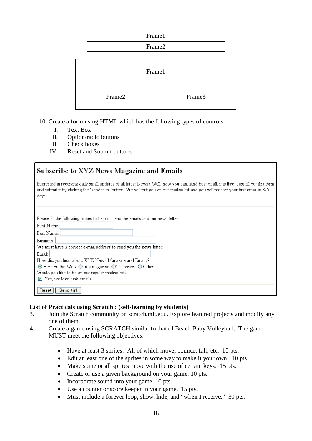| Frame1 |
|--------|
| Frame2 |

| Frame1 |        |
|--------|--------|
| Frame2 | Frame3 |

- 10. Create a form using HTML which has the following types of controls:
	- I. Text Box
	- II. Option/radio buttons
	- III. Check boxes
	- IV. Reset and Submit buttons

| Subscribe to XYZ News Magazine and Emails                                                                                                                                                                                                                                                                                                                                                                |
|----------------------------------------------------------------------------------------------------------------------------------------------------------------------------------------------------------------------------------------------------------------------------------------------------------------------------------------------------------------------------------------------------------|
| Interested in receiving daily small updates of all latest News? Well, now you can. And best of all, it is free! Just fill out this form<br>and submit it by clicking the "send it In" button. We will put you on our mailing list and you will receive your first email in 3-5<br>days.                                                                                                                  |
| Please fill the following boxes to help us send the emails and our news letter:<br>First Name:<br>Last Name:<br>Business:<br>We must have a correct e-mail address to send you the news letter:<br>Email:<br>How did you hear about XYZ News Magazine and Emails?<br>$\odot$ Here on the Web $\odot$ In a magazine $\odot$ Television $\odot$ Other<br>Would you like to be on our regular mailing list? |
| $\triangledown$ Yes, we love junk emails<br>Send it in!<br>Reset                                                                                                                                                                                                                                                                                                                                         |

#### **List of Practicals using Scratch : (self-learning by students)**

- 3. Join the Scratch community on scratch.mit.edu. Explore featured projects and modify any one of them.
- 4. Create a game using SCRATCH similar to that of Beach Baby Volleyball. The game MUST meet the following objectives.
	- Have at least 3 sprites. All of which move, bounce, fall, etc. 10 pts.
	- Edit at least one of the sprites in some way to make it your own. 10 pts.
	- Make some or all sprites move with the use of certain keys. 15 pts.
	- Create or use a given background on your game. 10 pts.
	- Incorporate sound into your game. 10 pts.
	- Use a counter or score keeper in your game. 15 pts.
	- Must include a forever loop, show, hide, and "when I receive." 30 pts.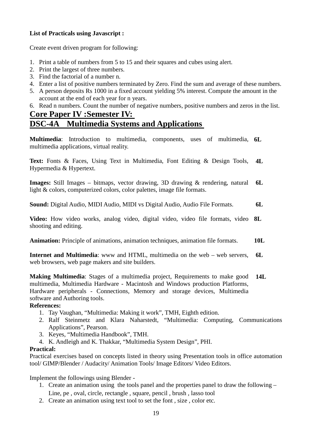#### **List of Practicals using Javascript :**

Create event driven program for following:

- 1. Print a table of numbers from 5 to 15 and their squares and cubes using alert.
- 2. Print the largest of three numbers.
- 3. Find the factorial of a number n.
- 4. Enter a list of positive numbers terminated by Zero. Find the sum and average of these numbers.
- 5. A person deposits Rs 1000 in a fixed account yielding 5% interest. Compute the amount in the account at the end of each year for n years.
- 6. Read n numbers. Count the number of negative numbers, positive numbers and zeros in the list.

# **Core Paper IV :Semester IV: DSC-4A Multimedia Systems and Applications**

**Multimedia**: Introduction to multimedia, components, uses of multimedia, **6L** multimedia applications, virtual reality.

**Text:** Fonts & Faces, Using Text in Multimedia, Font Editing & Design Tools, Hypermedia & Hypertext. **4L**

**Images:** Still Images – bitmaps, vector drawing, 3D drawing & rendering, natural light & colors, computerized colors, color palettes, image file formats. **6L**

**Sound:** Digital Audio, MIDI Audio, MIDI vs Digital Audio, Audio File Formats. **6L**

**Video:** How video works, analog video, digital video, video file formats, video shooting and editing. **8L**

**Animation:** Principle of animations, animation techniques, animation file formats. **10L**

**Internet and Multimedia**: www and HTML, multimedia on the web – web servers, web browsers, web page makers and site builders. **6L**

**Making Multimedia**: Stages of a multimedia project, Requirements to make good multimedia, Multimedia Hardware - Macintosh and Windows production Platforms, Hardware peripherals - Connections, Memory and storage devices, Multimedia software and Authoring tools. **14L**

#### **References:**

- 1. Tay Vaughan, "Multimedia: Making it work", TMH, Eighth edition.
- 2. Ralf Steinmetz and Klara Naharstedt, "Multimedia: Computing, Communications Applications", Pearson.
- 3. Keyes, "Multimedia Handbook", TMH.
- 4. K. Andleigh and K. Thakkar, "Multimedia System Design", PHI.

#### **Practical:**

Practical exercises based on concepts listed in theory using Presentation tools in office automation tool/ GIMP/Blender / Audacity/ Animation Tools/ Image Editors/ Video Editors.

Implement the followings using Blender -

- 1. Create an animation using the tools panel and the properties panel to draw the following –
- Line, pe , oval, circle, rectangle , square, pencil , brush , lasso tool
- 2. Create an animation using text tool to set the font , size , color etc.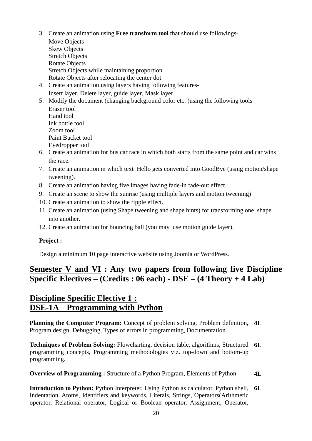- 3. Create an animation using **Free transform tool** that should use followings-
	- Move Objects Skew Objects Stretch Objects Rotate Objects Stretch Objects while maintaining proportion Rotate Objects after relocating the center dot
- 4. Create an animation using layers having following features-Insert layer, Delete layer, guide layer, Mask layer.
- 5. Modify the document (changing background color etc. )using the following tools Eraser tool Hand tool Ink bottle tool Zoom tool Paint Bucket tool Eyedropper tool
- 6. Create an animation for bus car race in which both starts from the same point and car wins the race.
- 7. Create an animation in which text Hello gets converted into GoodBye (using motion/shape tweening).
- 8. Create an animation having five images having fade-in fade-out effect.
- 9. Create an scene to show the sunrise (using multiple layers and motion tweening)
- 10. Create an animation to show the ripple effect.
- 11. Create an animation (using Shape tweening and shape hints) for transforming one shape into another.
- 12. Create an animation for bouncing ball (you may use motion guide layer).

### **Project :**

Design a minimum 10 page interactive website using Joomla or WordPress.

# **Semester V and VI : Any two papers from following five Discipline Specific Electives – (Credits : 06 each) - DSE – (4 Theory + 4 Lab)**

# **Discipline Specific Elective 1 : DSE-1A Programming with Python**

**Planning the Computer Program:** Concept of problem solving, Problem definition, **4L** Program design, Debugging, Types of errors in programming, Documentation.

**Techniques of Problem Solving:** Flowcharting, decision table, algorithms, Structured **6L** programming concepts, Programming methodologies viz. top-down and bottom-up programming.

**Overview of Programming :** Structure of a Python Program, Elements of Python **4L**

**Introduction to Python:** Python Interpreter, Using Python as calculator, Python shell, **6L**Indentation. Atoms, Identifiers and keywords, Literals, Strings, Operators(Arithmetic operator, Relational operator, Logical or Boolean operator, Assignment, Operator,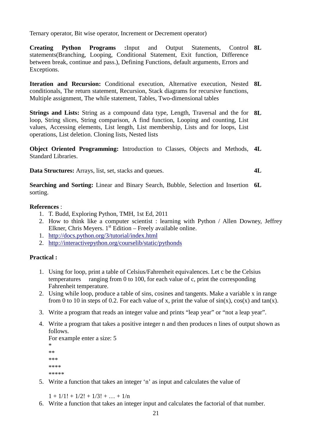Ternary operator, Bit wise operator, Increment or Decrement operator)

**Creating Python Programs :**Input and Output Statements, statements(Branching, Looping, Conditional Statement, Exit function, Difference between break, continue and pass.), Defining Functions, default arguments, Errors and Exceptions. Control **8L** 

**Iteration and Recursion:** Conditional execution, Alternative execution, Nested **8L** conditionals, The return statement, Recursion, Stack diagrams for recursive functions, Multiple assignment, The while statement, Tables, Two-dimensional tables

**Strings and Lists:** String as a compound data type, Length, Traversal and the for **8L** loop, String slices, String comparison, A find function, Looping and counting, List values, Accessing elements, List length, List membership, Lists and for loops, List operations, List deletion. Cloning lists, Nested lists

**Object Oriented Programming:** Introduction to Classes, Objects and Methods, **4L** Standard Libraries.

**Data Structures:** Arrays, list, set, stacks and queues.

**4L**

**Searching and Sorting:** Linear and Binary Search, Bubble, Selection and Insertion **6L** sorting.

#### **References** :

- 1. T. Budd, Exploring Python, TMH, 1st Ed, 2011
- 2. How to think like a computer scientist : learning with Python / Allen Downey, Jeffrey Elkner, Chris Meyers.  $1<sup>st</sup>$  Edition – Freely available online.
- 1. <http://docs.python.org/3/tutorial/index.html>
- 2. <http://interactivepython.org/courselib/static/pythonds>

#### **Practical :**

- 1. Using for loop, print a table of Celsius/Fahrenheit equivalences. Let c be the Celsius temperatures ranging from 0 to 100, for each value of c, print the corresponding Fahrenheit temperature.
- 2. Using while loop, produce a table of sins, cosines and tangents. Make a variable x in range from 0 to 10 in steps of 0.2. For each value of x, print the value of  $sin(x)$ ,  $cos(x)$  and  $tan(x)$ .
- 3. Write a program that reads an integer value and prints "leap year" or "not a leap year".
- 4. Write a program that takes a positive integer n and then produces n lines of output shown as follows.

```
For example enter a size: 5 
* 
** 
*** 
**** 
*****
```
5. Write a function that takes an integer 'n' as input and calculates the value of

 $1 + 1/1! + 1/2! + 1/3! + ... + 1/n$ 

6. Write a function that takes an integer input and calculates the factorial of that number.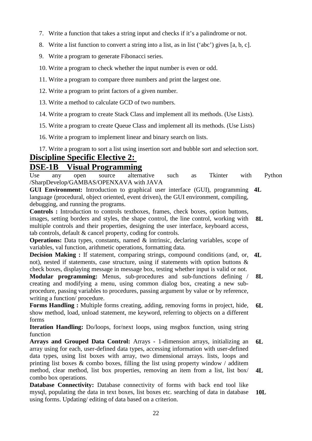- 7. Write a function that takes a string input and checks if it's a palindrome or not.
- 8. Write a list function to convert a string into a list, as in list ('abc') gives [a, b, c].
- 9. Write a program to generate Fibonacci series.
- 10. Write a program to check whether the input number is even or odd.
- 11. Write a program to compare three numbers and print the largest one.
- 12. Write a program to print factors of a given number.
- 13. Write a method to calculate GCD of two numbers.
- 14. Write a program to create Stack Class and implement all its methods. (Use Lists).
- 15. Write a program to create Queue Class and implement all its methods. (Use Lists)
- 16. Write a program to implement linear and binary search on lists.
- 17. Write a program to sort a list using insertion sort and bubble sort and selection sort.

# **Discipline Specific Elective 2: DSE-1B Visual Programming**

Use any open source alternative such as Tkinter with Python /SharpDevelop/GAMBAS/OPENXAVA with JAVA

**GUI Environment:** Introduction to graphical user interface (GUI), programming **4L** language (procedural, object oriented, event driven), the GUI environment, compiling, debugging, and running the programs.

**Controls :** Introduction to controls textboxes, frames, check boxes, option buttons, images, setting borders and styles, the shape control, the line control, working with multiple controls and their properties, designing the user interface, keyboard access, tab controls, default & cancel property, coding for controls. **8L**

**Operations:** Data types, constants, named & intrinsic, declaring variables, scope of variables, val function, arithmetic operations, formatting data.

**Decision Making :** If statement, comparing strings, compound conditions (and, or, not), nested if statements, case structure, using if statements with option buttons  $\&$ check boxes, displaying message in message box, testing whether input is valid or not. **4L**

**Modular programming:** Menus, sub-procedures and sub-functions defining / creating and modifying a menu, using common dialog box, creating a new subprocedure, passing variables to procedures, passing argument by value or by reference, writing a function/ procedure. **8L**

**Forms Handling :** Multiple forms creating, adding, removing forms in project, hide, show method, load, unload statement, me keyword, referring to objects on a different forms **6L**

**Iteration Handling:** Do/loops, for/next loops, using msgbox function, using string function

**Arrays and Grouped Data Control:** Arrays - 1-dimension arrays, initializing an array using for each, user-defined data types, accessing information with user-defined data types, using list boxes with array, two dimensional arrays. lists, loops and printing list boxes  $\&$  combo boxes, filling the list using property window / additem method, clear method, list box properties, removing an item from a list, list box/ combo box operations. **6L 4L**

**Database Connectivity:** Database connectivity of forms with back end tool like mysql, populating the data in text boxes, list boxes etc. searching of data in database using forms. Updating/ editing of data based on a criterion. **10L**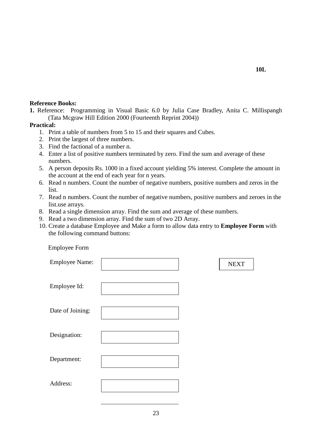#### **Reference Books:**

**1.** Reference: Programming in Visual Basic 6.0 by Julia Case Bradley, Anita C. Millispangh (Tata Mcgraw Hill Edition 2000 (Fourteenth Reprint 2004))

#### **Practical:**

- 1. Print a table of numbers from 5 to 15 and their squares and Cubes.
- 2. Print the largest of three numbers.
- 3. Find the factional of a number n.

Employee Form

- 4. Enter a list of positive numbers terminated by zero. Find the sum and average of these numbers.
- 5. A person deposits Rs. 1000 in a fixed account yielding 5% interest. Complete the amount in the account at the end of each year for n years.
- 6. Read n numbers. Count the number of negative numbers, positive numbers and zeros in the list.
- 7. Read n numbers. Count the number of negative numbers, positive numbers and zeroes in the list.use arrays.
- 8. Read a single dimension array. Find the sum and average of these numbers.
- 9. Read a two dimension array. Find the sum of two 2D Array.
- 10. Create a database Employee and Make a form to allow data entry to **Employee Form** with the following command buttons:

| $\mathbf{r}$ $\mathbf{v}$ $\mathbf{r}$ |             |
|----------------------------------------|-------------|
| <b>Employee Name:</b>                  | <b>NEXT</b> |
| Employee Id:                           |             |
| Date of Joining:                       |             |
| Designation:                           |             |
| Department:                            |             |
| Address:                               |             |
|                                        |             |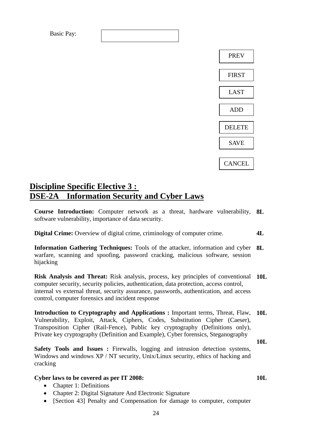

# **Discipline Specific Elective 3 : DSE-2A Information Security and Cyber Laws**

**Course Introduction:** Computer network as a threat, hardware vulnerability, **8L** software vulnerability, importance of data security.

**Digital Crime:** Overview of digital crime, criminology of computer crime. **4L**

**Information Gathering Techniques:** Tools of the attacker, information and cyber **8L** warfare, scanning and spoofing, password cracking, malicious software, session hijacking

**Risk Analysis and Threat:** Risk analysis, process, key principles of conventional **10L** computer security, security policies, authentication, data protection, access control, internal vs external threat, security assurance, passwords, authentication, and access control, computer forensics and incident response

**Introduction to Cryptography and Applications :** Important terms, Threat, Flaw, **10L** Vulnerability, Exploit, Attack, Ciphers, Codes, Substitution Cipher (Caeser), Transposition Cipher (Rail-Fence), Public key cryptography (Definitions only), Private key cryptography (Definition and Example), Cyber forensics, Steganography

**10L**

PREV

FIRST

LAST

ADD

DELETE

SAVE

**CANCEL** 

**10L**

**Safety Tools and Issues :** Firewalls, logging and intrusion detection systems, Windows and windows XP / NT security, Unix/Linux security, ethics of hacking and cracking

#### **Cyber laws to be covered as per IT 2008:**

- Chapter 1: Definitions
- Chapter 2: Digital Signature And Electronic Signature
- [Section 43] Penalty and Compensation for damage to computer, computer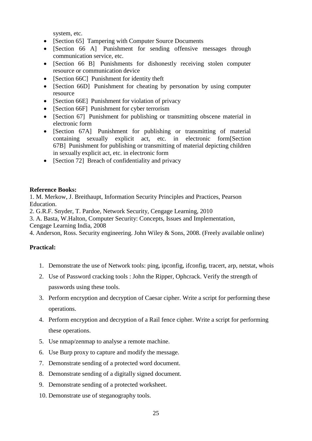system, etc.

- [Section 65] Tampering with Computer Source Documents
- [Section 66 A] Punishment for sending offensive messages through communication service, etc.
- [Section 66 B] Punishments for dishonestly receiving stolen computer resource or communication device
- [Section 66C] Punishment for identity theft
- [Section 66D] Punishment for cheating by personation by using computer resource
- [Section 66E] Punishment for violation of privacy
- [Section 66F] Punishment for cyber terrorism
- [Section 67] Punishment for publishing or transmitting obscene material in electronic form
- [Section 67A] Punishment for publishing or transmitting of material containing sexually explicit act, etc. in electronic form[Section 67B] Punishment for publishing or transmitting of material depicting children in sexually explicit act, etc. in electronic form
- [Section 72] Breach of confidentiality and privacy

#### **Reference Books:**

1. M. Merkow, J. Breithaupt, Information Security Principles and Practices, Pearson Education.

2. G.R.F. Snyder, T. Pardoe, Network Security, Cengage Learning, 2010

3. A. Basta, W.Halton, Computer Security: Concepts, Issues and Implementation,

Cengage Learning India, 2008

4. Anderson, Ross. Security engineering. John Wiley & Sons, 2008. (Freely available online)

#### **Practical:**

- 1. Demonstrate the use of Network tools: ping, ipconfig, ifconfig, tracert, arp, netstat, whois
- 2. Use of Password cracking tools : John the Ripper, Ophcrack. Verify the strength of passwords using these tools.
- 3. Perform encryption and decryption of Caesar cipher. Write a script for performing these operations.
- 4. Perform encryption and decryption of a Rail fence cipher. Write a script for performing these operations.
- 5. Use nmap/zenmap to analyse a remote machine.
- 6. Use Burp proxy to capture and modify the message.
- 7. Demonstrate sending of a protected word document.
- 8. Demonstrate sending of a digitally signed document.
- 9. Demonstrate sending of a protected worksheet.
- 10. Demonstrate use of steganography tools.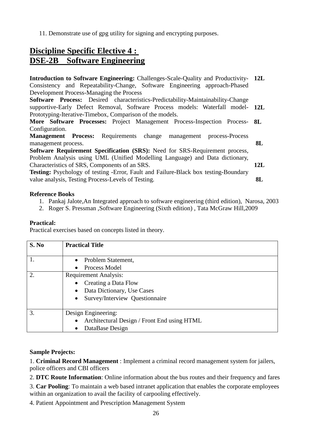11. Demonstrate use of gpg utility for signing and encrypting purposes.

# **Discipline Specific Elective 4 : DSE-2B Software Engineering**

**Introduction to Software Engineering:** Challenges-Scale-Quality and Productivity-**12L** Consistency and Repeatability-Change, Software Engineering approach-Phased Development Process-Managing the Process **Software Process:** Desired characteristics-Predictability-Maintainability-Change supportive-Early Defect Removal, Software Process models: Waterfall model-**12L** Prototyping-Iterative-Timebox, Comparison of the models. **More Software Processes:** Project Management Process-Inspection Process-**8L** Configuration. **Management Process:** Requirements change management process-Process management process. **Software Requirement Specification (SRS):** Need for SRS-Requirement process, Problem Analysis using UML (Unified Modelling Language) and Data dictionary, Characteristics of SRS, Components of an SRS. **Testing:** Psychology of testing -Error, Fault and Failure-Black box testing-Boundary value analysis, Testing Process-Levels of Testing. **8L 12L 8L**

#### **Reference Books**

- 1. Pankaj Jalote,An Integrated approach to software engineering (third edition), Narosa, 2003
- 2. Roger S. Pressman ,Software Engineering (Sixth edition) , Tata McGraw Hill,2009

#### **Practical:**

Practical exercises based on concepts listed in theory.

| S. No | <b>Practical Title</b>                      |
|-------|---------------------------------------------|
|       | Problem Statement,                          |
|       | Process Model                               |
| 2.    | <b>Requirement Analysis:</b>                |
|       | Creating a Data Flow                        |
|       | Data Dictionary, Use Cases<br>$\bullet$     |
|       | Survey/Interview Questionnaire<br>$\bullet$ |
|       |                                             |
| 3.    | Design Engineering:                         |
|       | Architectural Design / Front End using HTML |
|       | DataBase Design                             |

#### **Sample Projects:**

1. **Criminal Record Management** : Implement a criminal record management system for jailers, police officers and CBI officers

2. **DTC Route Information**: Online information about the bus routes and their frequency and fares

3. **Car Pooling**: To maintain a web based intranet application that enables the corporate employees within an organization to avail the facility of carpooling effectively.

4. Patient Appointment and Prescription Management System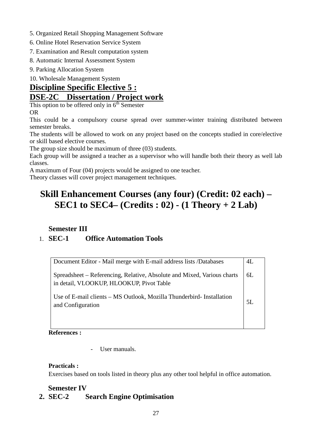- 5. Organized Retail Shopping Management Software
- 6. Online Hotel Reservation Service System
- 7. Examination and Result computation system
- 8. Automatic Internal Assessment System
- 9. Parking Allocation System

10. Wholesale Management System

# **Discipline Specific Elective 5 : DSE-2C Dissertation / Project work**

This option to be offered only in  $6<sup>th</sup>$  Semester

OR

This could be a compulsory course spread over summer-winter training distributed between semester breaks.

The students will be allowed to work on any project based on the concepts studied in core/elective or skill based elective courses.

The group size should be maximum of three (03) students.

Each group will be assigned a teacher as a supervisor who will handle both their theory as well lab classes.

A maximum of Four (04) projects would be assigned to one teacher.

Theory classes will cover project management techniques.

# **Skill Enhancement Courses (any four) (Credit: 02 each) – SEC1 to SEC4– (Credits : 02) - (1 Theory + 2 Lab)**

# **Semester III**

# 1. **SEC-1 Office Automation Tools**

| Document Editor - Mail merge with E-mail address lists /Databases                                                   | 4L |
|---------------------------------------------------------------------------------------------------------------------|----|
| Spreadsheet – Referencing, Relative, Absolute and Mixed, Various charts<br>in detail, VLOOKUP, HLOOKUP, Pivot Table | 6L |
| Use of E-mail clients - MS Outlook, Mozilla Thunderbird- Installation<br>and Configuration                          | 5I |

**References :**

- User manuals.

#### **Practicals :**

Exercises based on tools listed in theory plus any other tool helpful in office automation.

# **Semester IV**

# **2. SEC-2 Search Engine Optimisation**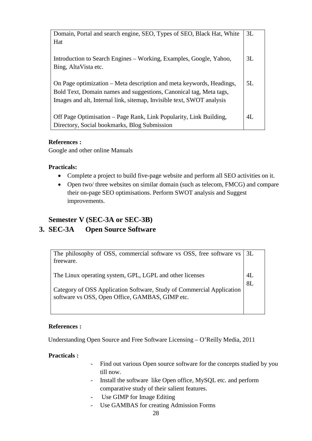| Domain, Portal and search engine, SEO, Types of SEO, Black Hat, White | 3L |
|-----------------------------------------------------------------------|----|
| Hat                                                                   |    |
|                                                                       |    |
| Introduction to Search Engines – Working, Examples, Google, Yahoo,    | 3L |
| Bing, AltaVista etc.                                                  |    |
|                                                                       |    |
| On Page optimization – Meta description and meta keywords, Headings,  | 5L |
| Bold Text, Domain names and suggestions, Canonical tag, Meta tags,    |    |
| Images and alt, Internal link, sitemap, Invisible text, SWOT analysis |    |
|                                                                       |    |
| Off Page Optimisation – Page Rank, Link Popularity, Link Building,    | 4L |
| Directory, Social bookmarks, Blog Submission                          |    |

#### **References :**

Google and other online Manuals

#### **Practicals:**

- Complete a project to build five-page website and perform all SEO activities on it.
- Open two/ three websites on similar domain (such as telecom, FMCG) and compare their on-page SEO optimisations. Perform SWOT analysis and Suggest improvements.

# **Semester V (SEC-3A or SEC-3B)**

### **3. SEC-3A Open Source Software**

| The philosophy of OSS, commercial software vs OSS, free software vs<br>freeware.                                                                                                     | 3L       |
|--------------------------------------------------------------------------------------------------------------------------------------------------------------------------------------|----------|
| The Linux operating system, GPL, LGPL and other licenses<br>Category of OSS Application Software, Study of Commercial Application<br>software vs OSS, Open Office, GAMBAS, GIMP etc. | 4L<br>8L |

#### **References :**

Understanding Open Source and Free Software Licensing – O'Reilly Media, 2011

#### **Practicals :**

- Find out various Open source software for the concepts studied by you till now.
- Install the software like Open office, MySQL etc. and perform comparative study of their salient features.
- Use GIMP for Image Editing
- Use GAMBAS for creating Admission Forms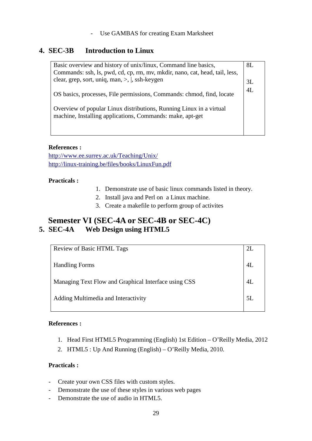#### - Use GAMBAS for creating Exam Marksheet

# **4. SEC-3B Introduction to Linux**

| Basic overview and history of unix/linux, Command line basics,              | 8L |
|-----------------------------------------------------------------------------|----|
| Commands: ssh, ls, pwd, cd, cp, rm, mv, mkdir, nano, cat, head, tail, less, |    |
| clear, grep, sort, uniq, man, $>$ , $ $ , ssh-keygen                        | 3L |
|                                                                             | 4L |
| OS basics, processes, File permissions, Commands: chmod, find, locate       |    |
|                                                                             |    |
| Overview of popular Linux distributions, Running Linux in a virtual         |    |
| machine, Installing applications, Commands: make, apt-get                   |    |
|                                                                             |    |
|                                                                             |    |

#### **References :**

<http://www.ee.surrey.ac.uk/Teaching/Unix/> <http://linux-training.be/files/books/LinuxFun.pdf>

#### **Practicals :**

- 1. Demonstrate use of basic linux commands listed in theory.
- 2. Install java and Perl on a Linux machine.
- 3. Create a makefile to perform group of activites

# **Semester VI (SEC-4A or SEC-4B or SEC-4C) 5. SEC-4A Web Design using HTML5**

| <b>Review of Basic HTML Tags</b>                     | 2L |
|------------------------------------------------------|----|
| <b>Handling Forms</b>                                | 4L |
| Managing Text Flow and Graphical Interface using CSS | 4L |
| Adding Multimedia and Interactivity                  | 5L |
|                                                      |    |

#### **References :**

- 1. Head First HTML5 Programming (English) 1st Edition O'Reilly Media, 2012
- 2. HTML5 : Up And Running (English) O'Reilly Media, 2010.

#### **Practicals :**

- Create your own CSS files with custom styles.
- Demonstrate the use of these styles in various web pages
- Demonstrate the use of audio in HTML5.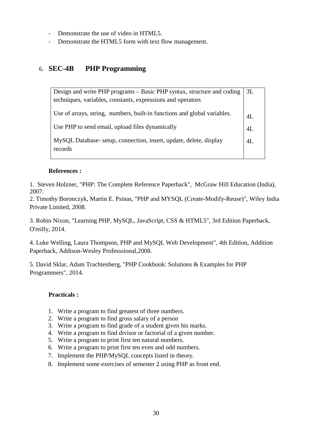- Demonstrate the use of video in HTML5.
- Demonstrate the HTML5 form with text flow management.

# 6. **SEC-4B PHP Programming**

| Design and write PHP programs – Basic PHP syntax, structure and coding   | 3L |
|--------------------------------------------------------------------------|----|
| techniques, variables, constants, expressions and operators              |    |
|                                                                          |    |
| Use of arrays, string, numbers, built-in functions and global variables. | 4L |
| Use PHP to send email, upload files dynamically                          | 4L |
|                                                                          |    |
| MySQL Database-setup, connection, insert, update, delete, display        | 4L |
| records                                                                  |    |
|                                                                          |    |

#### **References :**

1. Steven Holzner, "PHP: The Complete Reference Paperback", McGraw Hill Education (India), 2007.

2. Timothy Boronczyk, Martin E. Psinas, "PHP and MYSQL (Create-Modify-Reuse)", Wiley India Private Limited, 2008.

3. Robin Nixon, "Learning PHP, MySQL, JavaScript, CSS & HTML5", 3rd Edition Paperback, O'reilly, 2014.

4. Luke Welling, Laura Thompson, PHP and MySQL Web Development", 4th Edition, Addition Paperback, Addison-Wesley Professsional,2008.

5. David Sklar, Adam Trachtenberg, "PHP Cookbook: Solutions & Examples for PHP Programmers", 2014.

#### **Practicals :**

- 1. Write a program to find greatest of three numbers.
- 2. Write a program to find gross salary of a person
- 3. Write a program to find grade of a student given his marks.
- 4. Write a program to find divisor or factorial of a given number.
- 5. Write a program to print first ten natural numbers.
- 6. Write a program to print first ten even and odd numbers.
- 7. Implement the PHP/MySQL concepts listed in theory.
- 8. Implement some exercises of semester 2 using PHP as front end.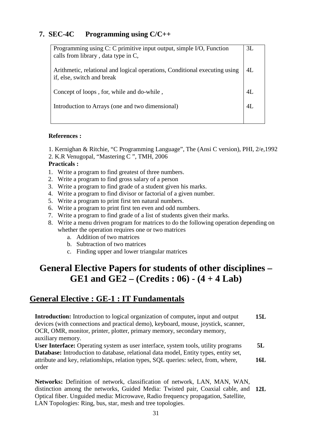# **7. SEC-4C Programming using C/C++**

| Programming using C: C primitive input output, simple I/O, Function<br>calls from library, data type in C, | 3L     |
|------------------------------------------------------------------------------------------------------------|--------|
| Arithmetic, relational and logical operations, Conditional executing using<br>if, else, switch and break   | $4I$ . |
| Concept of loops, for, while and do-while,                                                                 | 4Ι     |
| Introduction to Arrays (one and two dimensional)                                                           | 4Ι     |
|                                                                                                            |        |

#### **References :**

1. Kernighan & Ritchie, "C Programming Language", The (Ansi C version), PHI, 2/e,1992

2. K.R Venugopal, "Mastering C ", TMH, 2006

#### **Practicals :**

- 1. Write a program to find greatest of three numbers.
- 2. Write a program to find gross salary of a person
- 3. Write a program to find grade of a student given his marks.
- 4. Write a program to find divisor or factorial of a given number.
- 5. Write a program to print first ten natural numbers.
- 6. Write a program to print first ten even and odd numbers.
- 7. Write a program to find grade of a list of students given their marks.
- 8. Write a menu driven program for matrices to do the following operation depending on whether the operation requires one or two matrices
	- a. Addition of two matrices
	- b. Subtraction of two matrices
	- c. Finding upper and lower triangular matrices

# **General Elective Papers for students of other disciplines – GE1 and GE2 – (Credits : 06) - (4 + 4 Lab)**

# **General Elective : GE-1 : IT Fundamentals**

**Introduction:** Introduction to logical organization of computer**,** input and output devices (with connections and practical demo), keyboard, mouse, joystick, scanner, OCR, OMR, monitor, printer, plotter, primary memory, secondary memory, auxiliary memory. **User Interface:** Operating system as user interface, system tools, utility programs **Database:** Introduction to database, relational data model, Entity types, entity set, attribute and key, relationships, relation types, SQL queries: select, from, where, order **15L 5L 16L**

**Networks:** Definition of network, classification of network, LAN, MAN, WAN, distinction among the networks, Guided Media: Twisted pair, Coaxial cable, and **12L**Optical fiber. Unguided media: Microwave, Radio frequency propagation, Satellite, LAN Topologies: Ring, bus, star, mesh and tree topologies.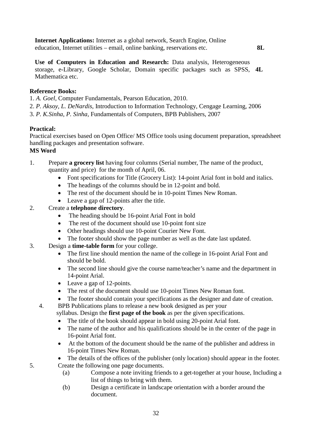**Internet Applications:** Internet as a global network, Search Engine, Online education, Internet utilities – email, online banking, reservations etc.

**Use of Computers in Education and Research:** Data analysis, Heterogeneous

**8L**

storage, e-Library, Google Scholar, Domain specific packages such as SPSS, **4L** Mathematica etc.

#### **Reference Books:**

1. *A. Goel*, Computer Fundamentals, Pearson Education, 2010.

- 2. *P. Aksoy, L. DeNardis*, Introduction to Information Technology, Cengage Learning, 2006
- 3. *P. K.Sinha*, *P. Sinha,* Fundamentals of Computers, BPB Publishers, 2007

### **Practical:**

Practical exercises based on Open Office/ MS Office tools using document preparation, spreadsheet handling packages and presentation software.

### **MS Word**

- 1. Prepare **a grocery list** having four columns (Serial number, The name of the product, quantity and price) for the month of April, 06.
	- Font specifications for Title (Grocery List): 14-point Arial font in bold and italics.
	- The headings of the columns should be in 12-point and bold.
	- The rest of the document should be in 10-point Times New Roman.
	- Leave a gap of 12-points after the title.

### 2. Create a **telephone directory**.

- The heading should be 16-point Arial Font in bold
- The rest of the document should use 10-point font size
- Other headings should use 10-point Courier New Font.
- The footer should show the page number as well as the date last updated.
- 3. Design a **time-table form** for your college.
	- The first line should mention the name of the college in 16-point Arial Font and should be bold.
	- The second line should give the course name/teacher's name and the department in 14-point Arial.
	- Leave a gap of 12-points.
	- The rest of the document should use 10-point Times New Roman font.
	- The footer should contain your specifications as the designer and date of creation.
	- 4. BPB Publications plans to release a new book designed as per your

syllabus. Design the **first page of the book** as per the given specifications.

- The title of the book should appear in bold using 20-point Arial font.
- The name of the author and his qualifications should be in the center of the page in 16-point Arial font.
- At the bottom of the document should be the name of the publisher and address in 16-point Times New Roman.
- The details of the offices of the publisher (only location) should appear in the footer. 5. Create the following one page documents.
	- (a) Compose a note inviting friends to a get-together at your house, Including a list of things to bring with them.
	- (b) Design a certificate in landscape orientation with a border around the document.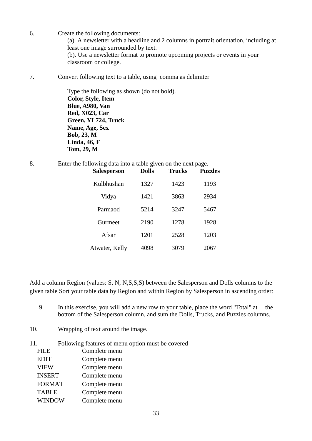- 6. Create the following documents: (a). A newsletter with a headline and 2 columns in portrait orientation, including at least one image surrounded by text. (b). Use a newsletter format to promote upcoming projects or events in your classroom or college.
- 7. Convert following text to a table, using comma as delimiter

Type the following as shown (do not bold). **Color, Style, Item Blue, A980, Van Red, X023, Car Green, YL724, Truck Name, Age, Sex Bob, 23, M Linda, 46, F Tom, 29, M**

8. Enter the following data into a table given on the next page.

| <b>Salesperson</b> | <b>Dolls</b> | <b>Trucks</b> | <b>Puzzles</b> |
|--------------------|--------------|---------------|----------------|
| Kulbhushan         | 1327         | 1423          | 1193           |
| Vidya              | 1421         | 3863          | 2934           |
| Parmaod            | 5214         | 3247          | 5467           |
| Gurmeet            | 2190         | 1278          | 1928           |
| Afsar              | 1201         | 2528          | 1203           |
| Atwater, Kelly     | 4098         | 3079          | 2067           |

Add a column Region (values: S, N, N,S,S,S) between the Salesperson and Dolls columns to the given table Sort your table data by Region and within Region by Salesperson in ascending order:

- 9. In this exercise, you will add a new row to your table, place the word "Total" at the bottom of the Salesperson column, and sum the Dolls, Trucks, and Puzzles columns.
- 10. Wrapping of text around the image.
- 11. Following features of menu option must be covered<br>
FULE Complete many  $Complet$ e menu

| FILE          | Complete ment |
|---------------|---------------|
| <b>EDIT</b>   | Complete menu |
| <b>VIEW</b>   | Complete menu |
| <b>INSERT</b> | Complete menu |
| <b>FORMAT</b> | Complete menu |
| <b>TABLE</b>  | Complete menu |
| <b>WINDOW</b> | Complete menu |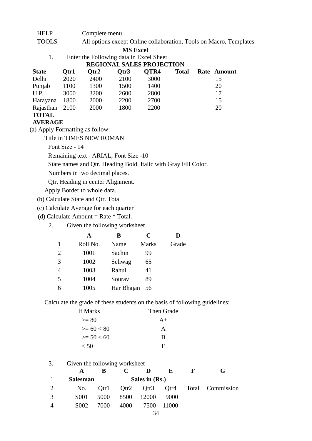HELP Complete menu

TOOLS All options except Online collaboration, Tools on Macro, Templates

**MS Excel**

| Enter the Following data in Excel Sheet |
|-----------------------------------------|
| <b>BRAILLY ALL BADAIRAM</b>             |

| <b>REGIONAL SALES PROJECTION</b> |      |      |                  |             |              |             |
|----------------------------------|------|------|------------------|-------------|--------------|-------------|
| <b>State</b>                     | Otr1 | Otr2 | Otr <sub>3</sub> | <b>OTR4</b> | <b>Total</b> | Rate Amount |
| Delhi                            | 2020 | 2400 | 2100             | 3000        |              | 15          |
| Punjab                           | 1100 | 1300 | 1500             | 1400        |              | 20          |
| U.P.                             | 3000 | 3200 | 2600             | 2800        |              | 17          |
| Harayana                         | 1800 | 2000 | 2200             | 2700        |              | 15          |
| Rajasthan 2100                   |      | 2000 | 1800             | 2200        |              | 20          |
| <b>TOTAL</b>                     |      |      |                  |             |              |             |

#### **AVERAGE**

(a) Apply Formatting as follow:

Title in TIMES NEW ROMAN

Font Size - 14

Remaining text - ARIAL, Font Size -10

State names and Qtr. Heading Bold, Italic with Gray Fill Color.

Numbers in two decimal places.

Qtr. Heading in center Alignment.

Apply Border to whole data.

(b) Calculate State and Qtr. Total

(c) Calculate Average for each quarter

(d) Calculate Amount = Rate  $*$  Total.

2. Given the following worksheet

|   | A        | В          | C            | D     |
|---|----------|------------|--------------|-------|
|   | Roll No. | Name       | <b>Marks</b> | Grade |
| 2 | 1001     | Sachin     | 99           |       |
| 3 | 1002     | Sehwag     | 65           |       |
| 4 | 1003     | Rahul      | 41           |       |
| 5 | 1004     | Sourav     | 89           |       |
|   | 1005     | Har Bhajan | 56           |       |

Calculate the grade of these students on the basis of following guidelines:

| If Marks     | Then Grade |
|--------------|------------|
| $>= 80$      | $A+$       |
| $>= 60 < 80$ | A          |
| $>= 50 < 60$ | R          |
| < 50         | F          |

| 3.<br>Given the following worksheet |                   |      |      |                |       |   |                  |
|-------------------------------------|-------------------|------|------|----------------|-------|---|------------------|
|                                     |                   |      |      |                | Е     | Е | G                |
|                                     | <b>Salesman</b>   |      |      | Sales in (Rs.) |       |   |                  |
|                                     | No.               | Otrl | Qtr2 | Qtr3           | Qtr4  |   | Total Commission |
|                                     | S001              | 5000 | 8500 | 12000          | 9000  |   |                  |
|                                     | S <sub>0</sub> 02 | 7000 | 4000 | 7500           | 11000 |   |                  |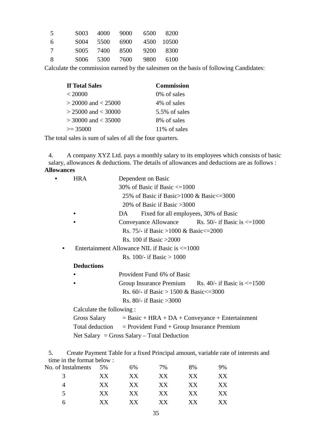| -5 |        | S003 4000 9000 |                |                      | 6500 8200 |
|----|--------|----------------|----------------|----------------------|-----------|
| -6 | S004 - |                |                | 5500 6900 4500 10500 |           |
| -7 |        |                | S005 7400 8500 |                      | 9200 8300 |
| -8 |        |                | S006 5300 7600 |                      | 9800 6100 |

Calculate the commission earned by the salesmen on the basis of following Candidates:

| <b>If Total Sales</b>   | <b>Commission</b> |
|-------------------------|-------------------|
| < 20000                 | 0\% of sales      |
| $>$ 20000 and $<$ 25000 | 4% of sales       |
| $> 25000$ and $< 30000$ | 5.5% of sales     |
| $>$ 30000 and $<$ 35000 | 8% of sales       |
| $\geq$ 35000            | 11% of sales      |

The total sales is sum of sales of all the four quarters.

4. A company XYZ Ltd. pays a monthly salary to its employees which consists of basic salary, allowances & deductions. The details of allowances and deductions are as follows : **Allowances**

| <b>HRA</b>                  | Dependent on Basic                                             |  |  |  |  |  |  |  |
|-----------------------------|----------------------------------------------------------------|--|--|--|--|--|--|--|
|                             | 30% of Basic if Basic $\leq$ =1000                             |  |  |  |  |  |  |  |
|                             | 25% of Basic if Basic > 1000 & Basic $\leq$ = 3000             |  |  |  |  |  |  |  |
|                             | 20% of Basic if Basic $>3000$                                  |  |  |  |  |  |  |  |
|                             | Fixed for all employees, 30% of Basic<br>DA.                   |  |  |  |  |  |  |  |
|                             | Conveyance Allowance Rs. 50/- if Basic is $\leq 1000$          |  |  |  |  |  |  |  |
|                             | Rs. 75/- if Basic >1000 & Basic <= 2000                        |  |  |  |  |  |  |  |
|                             | Rs. 100 if Basic $>2000$                                       |  |  |  |  |  |  |  |
|                             | Entertainment Allowance NIL if Basic is $\leq 1000$            |  |  |  |  |  |  |  |
| Rs. 100/- if Basic $> 1000$ |                                                                |  |  |  |  |  |  |  |
| <b>Deductions</b>           |                                                                |  |  |  |  |  |  |  |
|                             | Provident Fund 6% of Basic                                     |  |  |  |  |  |  |  |
|                             | Group Insurance Premium Rs. 40/- if Basic is $\leq 1500$       |  |  |  |  |  |  |  |
|                             | Rs. 60/- if Basic > 1500 & Basic <= 3000                       |  |  |  |  |  |  |  |
| Rs. 80/- if Basic $>3000$   |                                                                |  |  |  |  |  |  |  |
| Calculate the following:    |                                                                |  |  |  |  |  |  |  |
|                             | Gross Salary $=$ Basic + HRA + DA + Conveyance + Entertainment |  |  |  |  |  |  |  |
|                             | Total deduction $=$ Provident Fund + Group Insurance Premium   |  |  |  |  |  |  |  |
|                             | Net Salary = Gross Salary – Total Deduction                    |  |  |  |  |  |  |  |
|                             |                                                                |  |  |  |  |  |  |  |

5. Create Payment Table for a fixed Principal amount, variable rate of interests and time in the format below :

| No. of Instalments | 5% | 6%  | 7%  | 8% | 9% |
|--------------------|----|-----|-----|----|----|
| 3                  | XX | XX  | XX  | XX | XХ |
|                    | XX | XX  | XX  | XX | XX |
| 5.                 | XX | XX  | XX  | XX | XХ |
| h                  | XX | XX. | XX. | XХ | XХ |
|                    |    |     |     |    |    |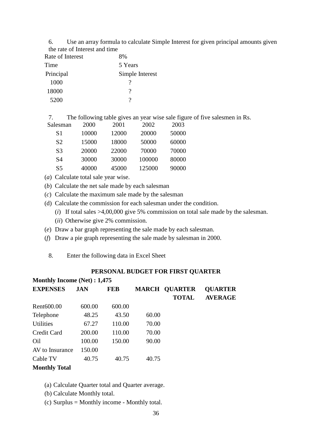6. Use an array formula to calculate Simple Interest for given principal amounts given the rate of Interest and time

| Rate of Interest | 8%              |
|------------------|-----------------|
| Time             | 5 Years         |
| Principal        | Simple Interest |
| 1000             |                 |
| 18000            | ?               |
| 5200             |                 |

7. The following table gives an year wise sale figure of five salesmen in Rs.<br>Salesman 2000 2001 2002 2003

| Salesman       | 2000  | 2001  | 2002   | 2003  |
|----------------|-------|-------|--------|-------|
| S1             | 10000 | 12000 | 20000  | 50000 |
| S <sub>2</sub> | 15000 | 18000 | 50000  | 60000 |
| S <sub>3</sub> | 20000 | 22000 | 70000  | 70000 |
| S4             | 30000 | 30000 | 100000 | 80000 |
| S5             | 40000 | 45000 | 125000 | 90000 |

- (*a*) Calculate total sale year wise.
- (*b*) Calculate the net sale made by each salesman
- (*c*) Calculate the maximum sale made by the salesman
- (d) Calculate the commission for each salesman under the condition.
	- (*i*) If total sales >4,00,000 give 5% commission on total sale made by the salesman.

(*ii*) Otherwise give 2% commission.

- (*e*) Draw a bar graph representing the sale made by each salesman.
- (*f*) Draw a pie graph representing the sale made by salesman in 2000.
	- 8. Enter the following data in Excel Sheet

#### **PERSONAL BUDGET FOR FIRST QUARTER**

| Monthly Income (Net) : 1,475 |            |            |       |                      |                |  |  |  |  |
|------------------------------|------------|------------|-------|----------------------|----------------|--|--|--|--|
| <b>EXPENSES</b>              | <b>JAN</b> | <b>FEB</b> |       | <b>MARCH QUARTER</b> | <b>QUARTER</b> |  |  |  |  |
|                              |            |            |       | <b>TOTAL</b>         | <b>AVERAGE</b> |  |  |  |  |
| Rent <sub>600.00</sub>       | 600.00     | 600.00     |       |                      |                |  |  |  |  |
| Telephone                    | 48.25      | 43.50      | 60.00 |                      |                |  |  |  |  |
| <b>Utilities</b>             | 67.27      | 110.00     | 70.00 |                      |                |  |  |  |  |
| <b>Credit Card</b>           | 200.00     | 110.00     | 70.00 |                      |                |  |  |  |  |
| Oil                          | 100.00     | 150.00     | 90.00 |                      |                |  |  |  |  |
| AV to Insurance              | 150.00     |            |       |                      |                |  |  |  |  |
| Cable TV                     | 40.75      | 40.75      | 40.75 |                      |                |  |  |  |  |
| <b>Monthly Total</b>         |            |            |       |                      |                |  |  |  |  |

- (a) Calculate Quarter total and Quarter average.
- (b) Calculate Monthly total.
- (c) Surplus = Monthly income Monthly total.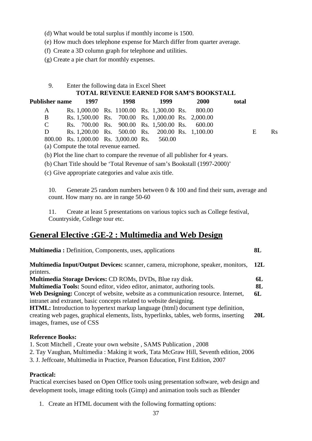- (d) What would be total surplus if monthly income is 1500.
- (e) How much does telephone expense for March differ from quarter average.
- (f) Create a 3D column graph for telephone and utilities.
- (g) Create a pie chart for monthly expenses.

| Enter the following data in Excel Sheet         |
|-------------------------------------------------|
| <b>TOTAL REVENUE EARNED FOR SAM'S BOOKSTALL</b> |

| Publisher name | 1997                                              | 1998 | 1999 | <b>2000</b> | total |   |         |
|----------------|---------------------------------------------------|------|------|-------------|-------|---|---------|
| A              | Rs. 1,000.00 Rs. 1100.00 Rs. 1,300.00 Rs. 800.00  |      |      |             |       |   |         |
| B.             | Rs. 1,500.00 Rs. 700.00 Rs. 1,000.00 Rs. 2,000.00 |      |      |             |       |   |         |
| $\mathcal{C}$  | Rs. 700.00 Rs. 900.00 Rs. 1,500.00 Rs. 600.00     |      |      |             |       |   |         |
| D              | Rs. 1,200.00 Rs. 500.00 Rs. 200.00 Rs. 1,100.00   |      |      |             |       | E | $R_{S}$ |
|                | 800.00 Rs. 1,000.00 Rs. 3,000.00 Rs. 560.00       |      |      |             |       |   |         |

(a) Compute the total revenue earned.

(b) Plot the line chart to compare the revenue of all publisher for 4 years.

(b) Chart Title should be 'Total Revenue of sam's Bookstall (1997-2000)'

(c) Give appropriate categories and value axis title.

**Multimedia :** Definition, Components, uses, applications

10. Generate 25 random numbers between 0 & 100 and find their sum, average and count. How many no. are in range 50-60

**8L**

11. Create at least 5 presentations on various topics such as College festival, Countryside, College tour etc.

# **General Elective :GE-2 : Multimedia and Web Design**

| Multimedia Input/Output Devices: scanner, camera, microphone, speaker, monitors,<br>printers. | 12L |
|-----------------------------------------------------------------------------------------------|-----|
| Multimedia Storage Devices: CD ROMs, DVDs, Blue ray disk.                                     | 6L  |
| Multimedia Tools: Sound editor, video editor, animator, authoring tools.                      | 8L  |
| Web Designing: Concept of website, website as a communication resource. Internet,             | 6L  |
| intranet and extranet, basic concepts related to website designing.                           |     |
| HTML: Introduction to hypertext markup language (html) document type definition,              |     |
| creating web pages, graphical elements, lists, hyperlinks, tables, web forms, inserting       | 20I |
| images, frames, use of CSS                                                                    |     |
|                                                                                               |     |

#### **Reference Books:**

1. Scott Mitchell , Create your own website , SAMS Publication , 2008

2. Tay Vaughan, Multimedia : Making it work, Tata McGraw Hill, Seventh edition, 2006

3. J. Jeffcoate, Multimedia in Practice, Pearson Education, First Edition, 2007

#### **Practical:**

Practical exercises based on Open Office tools using presentation software, web design and development tools, image editing tools (Gimp) and animation tools such as Blender

1. Create an HTML document with the following formatting options: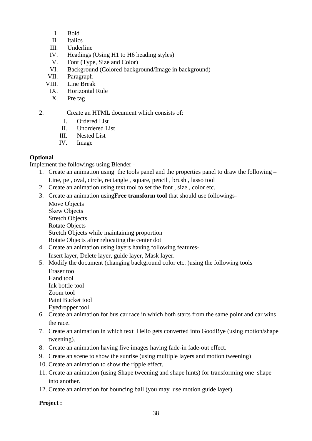- I. Bold
- II. Italics
- III. Underline
- IV. Headings (Using H1 to H6 heading styles)
- V. Font (Type, Size and Color)
- VI. Background (Colored background/Image in background)
- VII. Paragraph
- VIII. Line Break
	- IX. Horizontal Rule
	- X. Pre tag

2. Create an HTML document which consists of:

- I. Ordered List
- II. Unordered List
- III. Nested List
- IV. Image

#### **Optional**

Implement the followings using Blender -

- 1. Create an animation using the tools panel and the properties panel to draw the following
	- Line, pe , oval, circle, rectangle , square, pencil , brush , lasso tool
- 2. Create an animation using text tool to set the font , size , color etc.
- 3. Create an animation using**Free transform tool** that should use followings-
	- Move Objects Skew Objects Stretch Objects Rotate Objects Stretch Objects while maintaining proportion Rotate Objects after relocating the center dot
- 4. Create an animation using layers having following features-
	- Insert layer, Delete layer, guide layer, Mask layer.
- 5. Modify the document (changing background color etc. )using the following tools Eraser tool
	- Hand tool Ink bottle tool Zoom tool Paint Bucket tool Eyedropper tool
- 6. Create an animation for bus car race in which both starts from the same point and car wins the race.
- 7. Create an animation in which text Hello gets converted into GoodBye (using motion/shape tweening).
- 8. Create an animation having five images having fade-in fade-out effect.
- 9. Create an scene to show the sunrise (using multiple layers and motion tweening)
- 10. Create an animation to show the ripple effect.
- 11. Create an animation (using Shape tweening and shape hints) for transforming one shape into another.
- 12. Create an animation for bouncing ball (you may use motion guide layer).

#### **Project :**